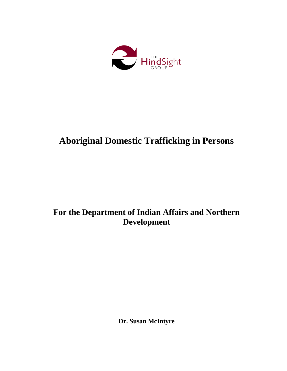

# **Aboriginal Domestic Trafficking in Persons**

## **For the Department of Indian Affairs and Northern Development**

**Dr. Susan McIntyre**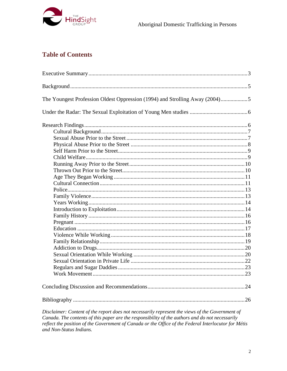

## **Table of Contents**

| The Youngest Profession Oldest Oppression (1994) and Strolling Away (2004)5 |    |
|-----------------------------------------------------------------------------|----|
|                                                                             |    |
|                                                                             |    |
|                                                                             |    |
|                                                                             |    |
|                                                                             |    |
|                                                                             |    |
|                                                                             |    |
|                                                                             |    |
|                                                                             |    |
|                                                                             |    |
|                                                                             |    |
|                                                                             |    |
|                                                                             |    |
|                                                                             |    |
|                                                                             |    |
|                                                                             |    |
|                                                                             |    |
|                                                                             |    |
|                                                                             |    |
|                                                                             |    |
|                                                                             |    |
|                                                                             |    |
|                                                                             |    |
|                                                                             |    |
|                                                                             |    |
|                                                                             |    |
|                                                                             | 26 |
|                                                                             |    |

Disclaimer: Content of the report does not necessarily represent the views of the Government of Canada. The contents of this paper are the responsibility of the authors and do not necessarily reflect the position of the Government of Canada or the Office of the Federal Interlocutor for Métis and Non-Status Indians.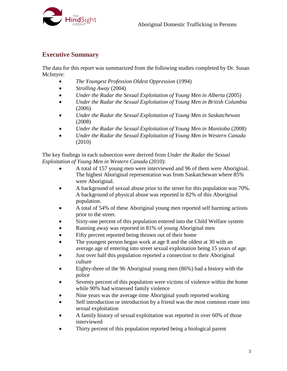

### <span id="page-2-0"></span>**Executive Summary**

The data for this report was summarized from the following studies completed by Dr. Susan McIntyre:

- *The Youngest Profession Oldest Oppression* (1994)
- *Strolling Away* (2004)
- *Under the Radar the Sexual Exploitation of Young Men in Alberta* (2005)
- *Under the Radar the Sexual Exploitation of Young Men in British Columbia* (2006)
- *Under the Radar the Sexual Exploitation of Young Men in Saskatchewan* (2008)
- *Under the Radar the Sexual Exploitation of Young Men in Manitoba* (2008)
- *Under the Radar the Sexual Exploitation of Young Men in Western Canada* (2010)

The key findings in each subsection were derived from *Under the Radar the Sexual Exploitation of Young Men in Western Canada* (2010):

- A total of 157 young men were interviewed and 96 of them were Aboriginal. The highest Aboriginal representation was from Saskatchewan where 85% were Aboriginal.
- A background of sexual abuse prior to the street for this population was 70%. A background of physical abuse was reported in 82% of this Aboriginal population.
- A total of 54% of these Aboriginal young men reported self harming actions prior to the street.
- Sixty-one percent of this population entered into the Child Welfare system
- Running away was reported in 81% of young Aboriginal men
- Fifty percent reported being thrown out of their home
- The youngest person began work at age 8 and the oldest at 30 with an average age of entering into street sexual exploitation being 15 years of age.
- Just over half this population reported a connection to their Aboriginal culture
- Eighty-three of the 96 Aboriginal young men (86%) had a history with the police
- Seventy percent of this population were victims of violence within the home while 90% had witnessed family violence
- Nine years was the average time Aboriginal youth reported working
- Self introduction or introduction by a friend was the most common route into sexual exploitation
- A family history of sexual exploitation was reported in over 60% of those interviewed
- Thirty percent of this population reported being a biological parent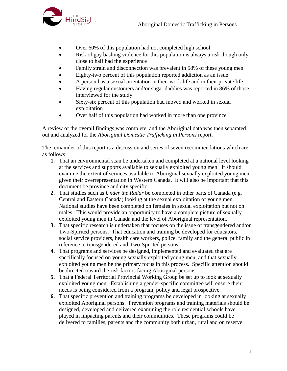

- Over 60% of this population had not completed high school
- Risk of gay bashing violence for this population is always a risk though only close to half had the experience
- Family strain and disconnection was prevalent in 58% of these young men
- Eighty-two percent of this population reported addiction as an issue
- A person has a sexual orientation in their work life and in their private life
- Having regular customers and/or sugar daddies was reported in 86% of those interviewed for the study
- Sixty-six percent of this population had moved and worked in sexual exploitation
- Over half of this population had worked in more than one province

A review of the overall findings was complete, and the Aboriginal data was then separated out and analyzed for the *Aboriginal Domestic Trafficking in Persons* report.

The remainder of this report is a discussion and series of seven recommendations which are as follows:

- **1.** That an environmental scan be undertaken and completed at a national level looking at the services and supports available to sexually exploited young men. It should examine the extent of services available to Aboriginal sexually exploited young men given their overrepresentation in Western Canada. It will also be important that this document be province and city specific.
- **2.** That studies such as *Under the Radar* be completed in other parts of Canada (e.g. Central and Eastern Canada) looking at the sexual exploitation of young men. National studies have been completed on females in sexual exploitation but not on males. This would provide an opportunity to have a complete picture of sexually exploited young men in Canada and the level of Aboriginal representation.
- **3.** That specific research is undertaken that focuses on the issue of transgendered and/or Two-Spirited persons. That education and training be developed for educators, social service providers, health care workers, police, family and the general public in reference to transgendered and Two-Spirited persons.
- **4.** That programs and services be designed, implemented and evaluated that are specifically focused on young sexually exploited young men; and that sexually exploited young men be the primary focus in this process. Specific attention should be directed toward the risk factors facing Aboriginal persons.
- **5.** That a Federal Territorial Provincial Working Group be set up to look at sexually exploited young men. Establishing a gender-specific committee will ensure their needs is being considered from a program, policy and legal prospective.
- **6.** That specific prevention and training programs be developed in looking at sexually exploited Aboriginal persons. Prevention programs and training materials should be designed, developed and delivered examining the role residential schools have played in impacting parents and their communities. These programs could be delivered to families, parents and the community both urban, rural and on reserve.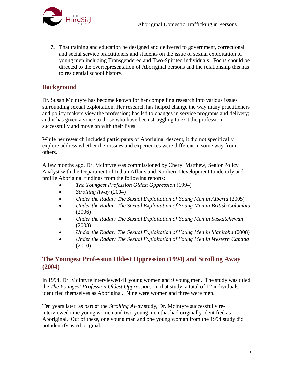

**7.** That training and education be designed and delivered to government, correctional and social service practitioners and students on the issue of sexual exploitation of young men including Transgendered and Two-Spirited individuals. Focus should be directed to the overrepresentation of Aboriginal persons and the relationship this has to residential school history.

## <span id="page-4-0"></span>**Background**

Dr. Susan McIntyre has become known for her compelling research into various issues surrounding sexual exploitation. Her research has helped change the way many practitioners and policy makers view the profession; has led to changes in service programs and delivery; and it has given a voice to those who have been struggling to exit the profession successfully and move on with their lives.

While her research included participants of Aboriginal descent, it did not specifically explore address whether their issues and experiences were different in some way from others.

A few months ago, Dr. McIntyre was commissioned by Cheryl Matthew, Senior Policy Analyst with the Department of Indian Affairs and Northern Development to identify and profile Aboriginal findings from the following reports:

- *The Youngest Profession Oldest Oppression* (1994)
- *Strolling Away* (2004)
- *Under the Radar: The Sexual Exploitation of Young Men in Alberta* (2005)
- *Under the Radar: The Sexual Exploitation of Young Men in British Columbia* (2006)
- *Under the Radar: The Sexual Exploitation of Young Men in Saskatchewan* (2008)
- *Under the Radar: The Sexual Exploitation of Young Men in Manitoba* (2008)
- *Under the Radar: The Sexual Exploitation of Young Men in Western Canada* (2010)

## <span id="page-4-1"></span>**The Youngest Profession Oldest Oppression (1994) and Strolling Away (2004)**

In 1994, Dr. McIntyre interviewed 41 young women and 9 young men. The study was titled the *The Youngest Profession Oldest Oppression*. In that study, a total of 12 individuals identified themselves as Aboriginal. Nine were women and three were men.

Ten years later, as part of the *Strolling Away* study, Dr. McIntyre successfully reinterviewed nine young women and two young men that had originally identified as Aboriginal. Out of these, one young man and one young woman from the 1994 study did not identify as Aboriginal.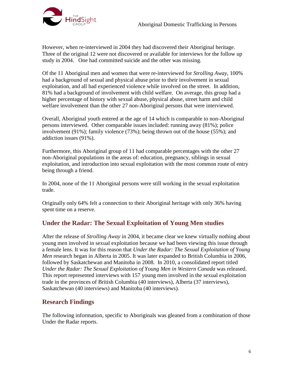

However, when re-interviewed in 2004 they had discovered their Aboriginal heritage. Three of the original 12 were not discovered or available for interviews for the follow up study in 2004. One had committed suicide and the other was missing.

Of the 11 Aboriginal men and women that were re-interviewed for *Strolling Away*, 100% had a background of sexual and physical abuse prior to their involvement in sexual exploitation, and all had experienced violence while involved on the street. In addition, 81% had a background of involvement with child welfare. On average, this group had a higher percentage of history with sexual abuse, physical abuse, street harm and child welfare involvement than the other 27 non-Aboriginal persons that were interviewed.

Overall, Aboriginal youth entered at the age of 14 which is comparable to non-Aboriginal persons interviewed. Other comparable issues included: running away (81%); police involvement (91%); family violence (73%); being thrown out of the house (55%); and addiction issues (91%).

Furthermore, this Aboriginal group of 11 had comparable percentages with the other 27 non-Aboriginal populations in the areas of: education, pregnancy, siblings in sexual exploitation, and introduction into sexual exploitation with the most common route of entry being through a friend.

In 2004, none of the 11 Aboriginal persons were still working in the sexual exploitation trade.

Originally only 64% felt a connection to their Aboriginal heritage with only 36% having spent time on a reserve.

## <span id="page-5-0"></span>**Under the Radar: The Sexual Exploitation of Young Men studies**

After the release of *Strolling Away* in 2004, it became clear we knew virtually nothing about young men involved in sexual exploitation because we had been viewing this issue through a female lens. It was for this reason that *Under the Radar: The Sexual Exploitation of Young Men* research began in Alberta in 2005. It was later expanded to British Columbia in 2006, followed by Saskatchewan and Manitoba in 2008. In 2010, a consolidated report titled *Under the Radar: The Sexual Exploitation of Young Men in Western Canada* was released. This report represented interviews with 157 young men involved in the sexual exploitation trade in the provinces of British Columbia (40 interviews), Alberta (37 interviews), Saskatchewan (40 interviews) and Manitoba (40 interviews).

## <span id="page-5-1"></span>**Research Findings**

The following information, specific to Aboriginals was gleaned from a combination of those Under the Radar reports.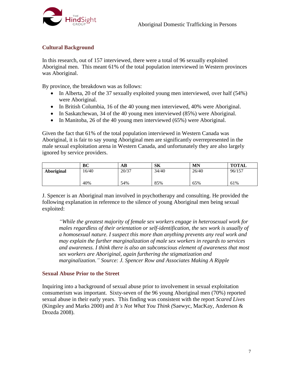

#### <span id="page-6-0"></span>**Cultural Background**

In this research, out of 157 interviewed, there were a total of 96 sexually exploited Aboriginal men. This meant 61% of the total population interviewed in Western provinces was Aboriginal.

By province, the breakdown was as follows:

- In Alberta, 20 of the 37 sexually exploited young men interviewed, over half (54%) were Aboriginal.
- In British Columbia, 16 of the 40 young men interviewed, 40% were Aboriginal.
- In Saskatchewan, 34 of the 40 young men interviewed (85%) were Aboriginal.
- In Manitoba, 26 of the 40 young men interviewed (65%) were Aboriginal.

Given the fact that 61% of the total population interviewed in Western Canada was Aboriginal, it is fair to say young Aboriginal men are significantly overrepresented in the male sexual exploitation arena in Western Canada, and unfortunately they are also largely ignored by service providers.

|            | BC    | AВ    | SK    | <b>MN</b> | <b>TOTAL</b> |
|------------|-------|-------|-------|-----------|--------------|
| Aboriginal | 16/40 | 20/37 | 34/40 | 26/40     | 96/157       |
|            | 40%   | 54%   | 85%   | 65%       | 61%          |

J. Spencer is an Aboriginal man involved in psychotherapy and consulting. He provided the following explanation in reference to the silence of young Aboriginal men being sexual exploited:

*"While the greatest majority of female sex workers engage in heterosexual work for males regardless of their orientation or self-identification, the sex work is usually of a homosexual nature. I suspect this more than anything prevents any real work and may explain the further marginalization of male sex workers in regards to services and awareness. I think there is also an subconscious element of awareness that most sex workers are Aboriginal, again furthering the stigmatization and marginalization." Source: J. Spencer Row and Associates Making A Ripple*

#### <span id="page-6-1"></span>**Sexual Abuse Prior to the Street**

Inquiring into a background of sexual abuse prior to involvement in sexual exploitation consumerism was important. Sixty-seven of the 96 young Aboriginal men (70%) reported sexual abuse in their early years. This finding was consistent with the report *Scared Lives* (Kingsley and Marks 2000) and *It's Not What You Think (*Saewyc, MacKay, Anderson & Drozda 2008).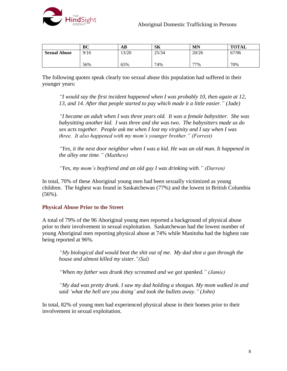

|                     | BC   | AB.   | SК    | MN    | <b>TOTAL</b> |
|---------------------|------|-------|-------|-------|--------------|
| <b>Sexual Abuse</b> | 9/16 | 13/20 | 25/34 | 20/26 | 67/96        |
|                     |      |       |       |       |              |
|                     | 56%  | 65%   | 74%   | 77%   | 70%          |

The following quotes speak clearly too sexual abuse this population had suffered in their younger years:

*"I would say the first incident happened when I was probably 10, then again at 12, 13, and 14. After that people started to pay which made it a little easier." (Jade)*

*"I became an adult when I was three years old. It was a female babysitter. She was babysitting another kid. I was three and she was two. The babysitters made us do sex acts together. People ask me when I lost my virginity and I say when I was three. It also happened with my mom's younger brother." (Forrest)*

*"Yes, it the next door neighbor when I was a kid. He was an old man. It happened in the alley one time." (Matthew)*

*"Yes, my mom's boyfriend and an old guy I was drinking with." (Darren)*

In total, 70% of these Aboriginal young men had been sexually victimized as young children. The highest was found in Saskatchewan (77%) and the lowest in British Columbia (56%).

#### <span id="page-7-0"></span>**Physical Abuse Prior to the Street**

A total of 79% of the 96 Aboriginal young men reported a background of physical abuse prior to their involvement in sexual exploitation. Saskatchewan had the lowest number of young Aboriginal men reporting physical abuse at 74% while Manitoba had the highest rate being reported at 96%.

*"My biological dad would beat the shit out of me. My dad shot a gun through the house and almost killed my sister."(Sal)*

*"When my father was drunk they screamed and we got spanked." (Jamie)*

*"My dad was pretty drunk. I saw my dad holding a shotgun. My mom walked in and said 'what the hell are you doing' and took the bullets away." (John)*

In total, 82% of young men had experienced physical abuse in their homes prior to their involvement in sexual exploitation.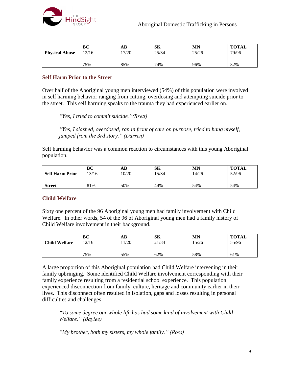

|                       | BC    | AB   | SK    | <b>MN</b> | <b>TOTAL</b> |
|-----------------------|-------|------|-------|-----------|--------------|
| <b>Physical Abuse</b> | 12/16 | 7/20 | 25/34 | 25/26     | 79/96        |
|                       |       |      |       |           |              |
|                       | 75%   | 85%  | 74%   | 96%       | 82%          |

#### <span id="page-8-0"></span>**Self Harm Prior to the Street**

Over half of the Aboriginal young men interviewed (54%) of this population were involved in self harming behavior ranging from cutting, overdosing and attempting suicide prior to the street. This self harming speaks to the trauma they had experienced earlier on.

*"Yes, I tried to commit suicide."(Brett)* 

*"Yes, I slashed, overdosed, ran in front of cars on purpose, tried to hang myself, jumped from the 3rd story." (Darren)*

Self harming behavior was a common reaction to circumstances with this young Aboriginal population.

|                        | ВC   | AВ    | SK   | MN    | <b>TOTAL</b> |
|------------------------|------|-------|------|-------|--------------|
| <b>Self Harm Prior</b> | 3/16 | 10/20 | 5/34 | 14/26 | 52/96        |
|                        |      |       |      |       |              |
| <b>Street</b>          | 81%  | 50%   | 44%  | 54%   | 54%          |

#### <span id="page-8-1"></span>**Child Welfare**

Sixty one percent of the 96 Aboriginal young men had family involvement with Child Welfare. In other words, 54 of the 96 of Aboriginal young men had a family history of Child Welfare involvement in their background.

|                      | BC    | AВ   | SК    | <b>MN</b> | <b>TOTAL</b> |
|----------------------|-------|------|-------|-----------|--------------|
| <b>Child Welfare</b> | 12/16 | 1/20 | 21/34 | 15/26     | 55/96        |
|                      | 75%   | 55%  | 62%   | 58%       | 61%          |

A large proportion of this Aboriginal population had Child Welfare intervening in their family upbringing. Some identified Child Welfare involvement corresponding with their family experience resulting from a residential school experience. This population experienced disconnection from family, culture, heritage and community earlier in their lives. This disconnect often resulted in isolation, gaps and losses resulting in personal difficulties and challenges.

*"To some degree our whole life has had some kind of involvement with Child Welfare." (Baylee)*

*"My brother, both my sisters, my whole family." (Ross)*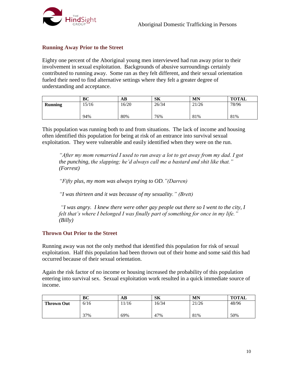

#### <span id="page-9-0"></span>**Running Away Prior to the Street**

Eighty one percent of the Aboriginal young men interviewed had run away prior to their involvement in sexual exploitation. Backgrounds of abusive surroundings certainly contributed to running away. Some ran as they felt different, and their sexual orientation fueled their need to find alternative settings where they felt a greater degree of understanding and acceptance.

|                | ВC   | AВ    | SK    | MN    | <b>TOTAL</b> |
|----------------|------|-------|-------|-------|--------------|
| <b>Running</b> | 5/16 | 16/20 | 26/34 | 21/26 | 78/96        |
|                |      |       |       |       |              |
|                | 94%  | 80%   | 76%   | 81%   | 81%          |

This population was running both to and from situations. The lack of income and housing often identified this population for being at risk of an entrance into survival sexual exploitation. They were vulnerable and easily identified when they were on the run.

*"After my mom remarried I used to run away a lot to get away from my dad. I got the punching, the slapping; he'd always call me a bastard and shit like that." (Forrest)*

*"Fifty plus, my mom was always trying to OD."(Darren)*

*"I was thirteen and it was because of my sexuality." (Brett)*

*"I was angry. I knew there were other gay people out there so I went to the city, I felt that's where I belonged I was finally part of something for once in my life." (Billy)*

#### <span id="page-9-1"></span>**Thrown Out Prior to the Street**

Running away was not the only method that identified this population for risk of sexual exploitation. Half this population had been thrown out of their home and some said this had occurred because of their sexual orientation.

Again the risk factor of no income or housing increased the probability of this population entering into survival sex. Sexual exploitation work resulted in a quick immediate source of income.

|                   | BC   | AВ   | <b>SK</b> | MN    | <b>TOTAL</b> |
|-------------------|------|------|-----------|-------|--------------|
| <b>Thrown Out</b> | 6/16 | 1/16 | 16/34     | 21/26 | 48/96        |
|                   | 37%  | 69%  | 47%       | 81%   | 50%          |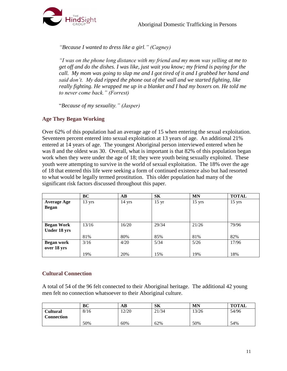

*"Because I wanted to dress like a girl." (Cagney)*

*"I was on the phone long distance with my friend and my mom was yelling at me to get off and do the dishes. I was like, just wait you know; my friend is paying for the call. My mom was going to slap me and I got tired of it and I grabbed her hand and said don't. My dad ripped the phone out of the wall and we started fighting, like really fighting. He wrapped me up in a blanket and I had my boxers on. He told me to never come back." (Forrest)*

"*Because of my sexuality." (Jasper)*

#### <span id="page-10-0"></span>**Age They Began Working**

Over 62% of this population had an average age of 15 when entering the sexual exploitation. Seventeen percent entered into sexual exploitation at 13 years of age. An additional 21% entered at 14 years of age. The youngest Aboriginal person interviewed entered when he was 8 and the oldest was 30. Overall, what is important is that 82% of this population began work when they were under the age of 18; they were youth being sexually exploited. These youth were attempting to survive in the world of sexual exploitation. The 18% over the age of 18 that entered this life were seeking a form of continued existence also but had resorted to what would be legally termed prostitution. This older population had many of the significant risk factors discussed throughout this paper.

|                    | BC               | $\bf AB$         | <b>SK</b>       | <b>MN</b> | <b>TOTAL</b>     |
|--------------------|------------------|------------------|-----------------|-----------|------------------|
| <b>Average Age</b> | $13 \text{ yrs}$ | $14 \text{ yrs}$ | $15 \text{ yr}$ | $15$ yrs  | $15 \text{ yrs}$ |
| <b>Began</b>       |                  |                  |                 |           |                  |
|                    |                  |                  |                 |           |                  |
|                    |                  |                  |                 |           |                  |
| <b>Began Work</b>  | 13/16            | 16/20            | 29/34           | 21/26     | 79/96            |
| Under 18 yrs       |                  |                  |                 |           |                  |
|                    | 81%              | 80%              | 85%             | 81%       | 82%              |
| <b>Began work</b>  | 3/16             | 4/20             | 5/34            | 5/26      | 17/96            |
| over 18 yrs        |                  |                  |                 |           |                  |
|                    | 19%              | 20%              | 15%             | 19%       | 18%              |

#### <span id="page-10-1"></span>**Cultural Connection**

A total of 54 of the 96 felt connected to their Aboriginal heritage. The additional 42 young men felt no connection whatsoever to their Aboriginal culture.

|                   | BC   | AВ    | SK    | <b>MN</b> | <b>TOTAL</b> |
|-------------------|------|-------|-------|-----------|--------------|
| Cultural          | 8/16 | 12/20 | 21/34 | 13/26     | 54/96        |
| <b>Connection</b> |      |       |       |           |              |
|                   | 50%  | 60%   | 62%   | 50%       | 54%          |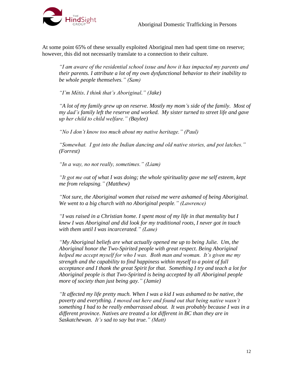

At some point 65% of these sexually exploited Aboriginal men had spent time on reserve; however, this did not necessarily translate to a connection to their culture.

*"I am aware of the residential school issue and how it has impacted my parents and their parents. I attribute a lot of my own dysfunctional behavior to their inability to be whole people themselves." (Sam)*

*"I'm Métis. I think that's Aboriginal." (Jake)*

*"A lot of my family grew up on reserve. Mostly my mom's side of the family. Most of my dad's family left the reserve and worked. My sister turned to street life and gave up her child to child welfare." (Baylee)*

*"No I don't know too much about my native heritage." (Paul)*

*"Somewhat. I got into the Indian dancing and old native stories, and pot latches." (Forrest)*

*"In a way, no not really, sometimes." (Liam)*

*"It got me out of what I was doing; the whole spirituality gave me self esteem, kept me from relapsing." (Matthew)*

*"Not sure, the Aboriginal women that raised me were ashamed of being Aboriginal. We went to a big church with no Aboriginal people." (Lawrence)*

*"I was raised in a Christian home. I spent most of my life in that mentality but I knew I was Aboriginal and did look for my traditional roots, I never got in touch with them until I was incarcerated." (Lane)*

*"My Aboriginal beliefs are what actually opened me up to being Julie. Um, the Aboriginal honor the Two-Spirited people with great respect. Being Aboriginal helped me accept myself for who I was. Both man and woman. It's given me my strength and the capability to find happiness within myself to a point of full acceptance and I thank the great Spirit for that. Something I try and teach a lot for Aboriginal people is that Two-Spirited is being accepted by all Aboriginal people more of society than just being gay." (Jamie)*

*"It affected my life pretty much. When I was a kid I was ashamed to be native, the poverty and everything. I moved out here and found out that being native wasn't something I had to be really embarrassed about. It was probably because I was in a different province. Natives are treated a lot different in BC than they are in Saskatchewan. It's sad to say but true." (Matt)*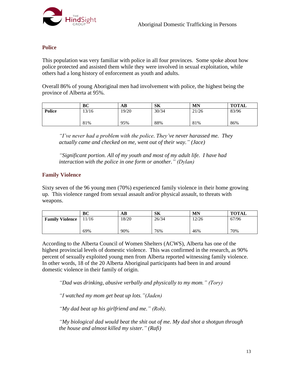

#### <span id="page-12-0"></span>**Police**

This population was very familiar with police in all four provinces. Some spoke about how police protected and assisted them while they were involved in sexual exploitation, while others had a long history of enforcement as youth and adults.

Overall 86% of young Aboriginal men had involvement with police, the highest being the province of Alberta at 95%.

|               | BC    | AВ    | <b>SK</b> | <b>MN</b> | <b>TOTAL</b> |
|---------------|-------|-------|-----------|-----------|--------------|
| <b>Police</b> | 13/16 | 19/20 | 30/34     | 21/26     | 83/96        |
|               | 81%   | 95%   | 88%       | 81%       | 86%          |

*"I've never had a problem with the police. They've never harassed me. They actually came and checked on me, went out of their way." (Jace)*

*"Significant portion. All of my youth and most of my adult life. I have had interaction with the police in one form or another." (Dylan)* 

#### <span id="page-12-1"></span>**Family Violence**

Sixty seven of the 96 young men (70%) experienced family violence in their home growing up. This violence ranged from sexual assault and/or physical assault, to threats with weapons.

|                        | ВC    | AВ    | SК    | <b>MN</b> | <b>TOTAL</b> |
|------------------------|-------|-------|-------|-----------|--------------|
| <b>Family Violence</b> | 11/16 | 18/20 | 26/34 | 12/26     | 67/96        |
|                        |       |       |       |           |              |
|                        | 69%   | 90%   | 76%   | 46%       | 70%          |

According to the Alberta Council of Women Shelters (ACWS), Alberta has one of the highest provincial levels of domestic violence. This was confirmed in the research, as 90% percent of sexually exploited young men from Alberta reported witnessing family violence. In other words, 18 of the 20 Alberta Aboriginal participants had been in and around domestic violence in their family of origin.

*"Dad was drinking, abusive verbally and physically to my mom." (Tory)*

*"I watched my mom get beat up lots."(Jaden)* 

*"My dad beat up his girlfriend and me." (Rob).*

*"My biological dad would beat the shit out of me. My dad shot a shotgun through the house and almost killed my sister." (Rafi)*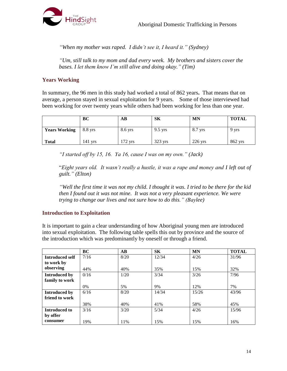

*"When my mother was raped. I didn't see it, I heard it." (Sydney)*

*"Um, still talk to my mom and dad every week. My brothers and sisters cover the bases. I let them know I'm still alive and doing okay." (Tim)*

#### <span id="page-13-0"></span>**Years Working**

In summary, the 96 men in this study had worked a total of 862 years**.** That means that on average, a person stayed in sexual exploitation for 9 years. Some of those interviewed had been working for over twenty years while others had been working for less than one year.

|                      | BC      | AB        | SK        | MN        | <b>TOTAL</b> |
|----------------------|---------|-----------|-----------|-----------|--------------|
| <b>Years Working</b> | 8.8 yrs | 8.6 yrs   | $9.5$ yrs | 8.7 yrs   | 9 yrs        |
| <b>Total</b>         | 141 vrs | $172$ yrs | 323 yrs   | $226$ yrs | 862 yrs      |

*"I started off by 15, 16. Ya 16, cause I was on my own." (Jack)*

"*Eight years old. It wasn't really a hustle, it was a rape and money and I left out of guilt." (Elton)*

*"Well the first time it was not my child. I thought it was. I tried to be there for the kid then I found out it was not mine. It was not a very pleasant experience. We were trying to change our lives and not sure how to do this." (Baylee)*

#### <span id="page-13-1"></span>**Introduction to Exploitation**

It is important to gain a clear understanding of how Aboriginal young men are introduced into sexual exploitation. The following table spells this out by province and the source of the introduction which was predominantly by oneself or through a friend.

|                      | BC   | AB   | <b>SK</b> | <b>MN</b> | <b>TOTAL</b> |
|----------------------|------|------|-----------|-----------|--------------|
| Introduced self      | 7/16 | 8/20 | 12/34     | 4/26      | 31/96        |
| to work by           |      |      |           |           |              |
| observing            | 44%  | 40%  | 35%       | 15%       | 32%          |
| <b>Introduced by</b> | 0/16 | 1/20 | 3/34      | 3/26      | 7/96         |
| family to work       |      |      |           |           |              |
|                      | 0%   | 5%   | 9%        | 12%       | 7%           |
| Introduced by        | 6/16 | 8/20 | 14/34     | 15/26     | 43/96        |
| friend to work       |      |      |           |           |              |
|                      | 38%  | 40%  | 41%       | 58%       | 45%          |
| <b>Introduced to</b> | 3/16 | 3/20 | 5/34      | 4/26      | 15/96        |
| by offer             |      |      |           |           |              |
| consumer             | 19%  | 11%  | 15%       | 15%       | 16%          |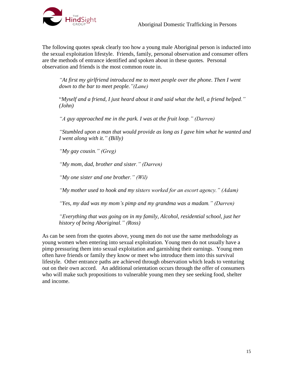

The following quotes speak clearly too how a young male Aboriginal person is inducted into the sexual exploitation lifestyle. Friends, family, personal observation and consumer offers are the methods of entrance identified and spoken about in these quotes. Personal observation and friends is the most common route in.

*"At first my girlfriend introduced me to meet people over the phone. Then I went down to the bar to meet people."(Lane)* 

"*Myself and a friend, I just heard about it and said what the hell, a friend helped." (John)*

*"A guy approached me in the park. I was at the fruit loop." (Darren)*

*"Stumbled upon a man that would provide as long as I gave him what he wanted and I went along with it." (Billy)*

*"My gay cousin." (Greg)*

*"My mom, dad, brother and sister." (Darren)*

*"My one sister and one brother." (Wil)*

*"My mother used to hook and my sisters worked for an escort agency." (Adam)*

*"Yes, my dad was my mom's pimp and my grandma was a madam." (Darren)*

*"Everything that was going on in my family, Alcohol, residential school, just her history of being Aboriginal." (Ross)*

As can be seen from the quotes above, young men do not use the same methodology as young women when entering into sexual exploitation. Young men do not usually have a pimp pressuring them into sexual exploitation and garnishing their earnings. Young men often have friends or family they know or meet who introduce them into this survival lifestyle. Other entrance paths are achieved through observation which leads to venturing out on their own accord. An additional orientation occurs through the offer of consumers who will make such propositions to vulnerable young men they see seeking food, shelter and income.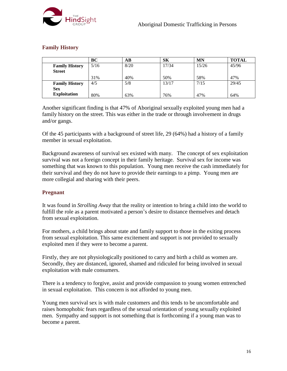

#### <span id="page-15-0"></span>**Family History**

|                       | BC   | AВ   | SК    | <b>MN</b> | <b>TOTAL</b> |
|-----------------------|------|------|-------|-----------|--------------|
| <b>Family History</b> | 5/16 | 8/20 | 17/34 | 15/26     | 45/96        |
| <b>Street</b>         |      |      |       |           |              |
|                       | 31%  | 40%  | 50%   | 58%       | 47%          |
| <b>Family History</b> | 4/5  | 5/8  | 13/17 | 7/15      | 29/45        |
| <b>Sex</b>            |      |      |       |           |              |
| <b>Exploitation</b>   | 80%  | 63%  | 76%   | 47%       | 64%          |

Another significant finding is that 47% of Aboriginal sexually exploited young men had a family history on the street. This was either in the trade or through involvement in drugs and/or gangs.

Of the 45 participants with a background of street life, 29 (64%) had a history of a family member in sexual exploitation.

Background awareness of survival sex existed with many. The concept of sex exploitation survival was not a foreign concept in their family heritage. Survival sex for income was something that was known to this population. Young men receive the cash immediately for their survival and they do not have to provide their earnings to a pimp. Young men are more collegial and sharing with their peers.

#### <span id="page-15-1"></span>**Pregnant**

It was found in *Strolling Away* that the reality or intention to bring a child into the world to fulfill the role as a parent motivated a person's desire to distance themselves and detach from sexual exploitation.

For mothers, a child brings about state and family support to those in the exiting process from sexual exploitation. This same excitement and support is not provided to sexually exploited men if they were to become a parent.

Firstly, they are not physiologically positioned to carry and birth a child as women are. Secondly, they are distanced, ignored, shamed and ridiculed for being involved in sexual exploitation with male consumers.

There is a tendency to forgive, assist and provide compassion to young women entrenched in sexual exploitation. This concern is not afforded to young men.

Young men survival sex is with male customers and this tends to be uncomfortable and raises homophobic fears regardless of the sexual orientation of young sexually exploited men. Sympathy and support is not something that is forthcoming if a young man was to become a parent.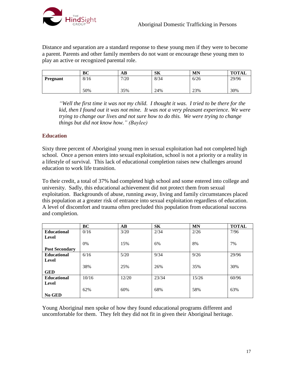

Distance and separation are a standard response to these young men if they were to become a parent. Parents and other family members do not want or encourage these young men to play an active or recognized parental role.

|                 | BC   | AB.  | SK   | <b>MN</b> | <b>TOTAL</b> |
|-----------------|------|------|------|-----------|--------------|
| <b>Pregnant</b> | 8/16 | 7/20 | 8/34 | 6/26      | 29/96        |
|                 |      |      |      |           |              |
|                 | 50%  | 35%  | 24%  | 23%       | 30%          |

*"Well the first time it was not my child. I thought it was. I tried to be there for the kid, then I found out it was not mine. It was not a very pleasant experience. We were trying to change our lives and not sure how to do this. We were trying to change things but did not know how." (Baylee)*

#### <span id="page-16-0"></span>**Education**

Sixty three percent of Aboriginal young men in sexual exploitation had not completed high school. Once a person enters into sexual exploitation, school is not a priority or a reality in a lifestyle of survival. This lack of educational completion raises new challenges around education to work life transition.

To their credit, a total of 37% had completed high school and some entered into college and university. Sadly, this educational achievement did not protect them from sexual exploitation. Backgrounds of abuse, running away, living and family circumstances placed this population at a greater risk of entrance into sexual exploitation regardless of education. A level of discomfort and trauma often precluded this population from educational success and completion.

|                       | BC    | $\bf AB$ | <b>SK</b> | <b>MN</b> | <b>TOTAL</b> |
|-----------------------|-------|----------|-----------|-----------|--------------|
| <b>Educational</b>    | 0/16  | 3/20     | 2/34      | 2/26      | 7/96         |
| Level                 |       |          |           |           |              |
|                       | 0%    | 15%      | 6%        | 8%        | 7%           |
| <b>Post Secondary</b> |       |          |           |           |              |
| <b>Educational</b>    | 6/16  | 5/20     | 9/34      | 9/26      | 29/96        |
| Level                 |       |          |           |           |              |
|                       | 38%   | 25%      | 26%       | 35%       | 30%          |
| <b>GED</b>            |       |          |           |           |              |
| <b>Educational</b>    | 10/16 | 12/20    | 23/34     | 15/26     | 60/96        |
| Level                 |       |          |           |           |              |
|                       | 62%   | 60%      | 68%       | 58%       | 63%          |
| No GED                |       |          |           |           |              |

Young Aboriginal men spoke of how they found educational programs different and uncomfortable for them. They felt they did not fit in given their Aboriginal heritage.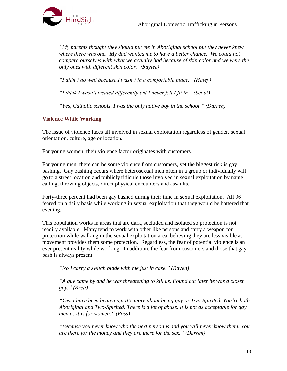

*"My parents thought they should put me in Aboriginal school but they never knew where there was one. My dad wanted me to have a better chance. We could not compare ourselves with what we actually had because of skin color and we were the only ones with different skin color."(Baylee)*

*"I didn't do well because I wasn't in a comfortable place." (Haley)* 

*"I think I wasn't treated differently but I never felt I fit in." (Scout)*

*"Yes, Catholic schools. I was the only native boy in the school." (Darren)*

#### <span id="page-17-0"></span>**Violence While Working**

The issue of violence faces all involved in sexual exploitation regardless of gender, sexual orientation, culture, age or location.

For young women, their violence factor originates with customers.

For young men, there can be some violence from customers, yet the biggest risk is gay bashing. Gay bashing occurs where heterosexual men often in a group or individually will go to a street location and publicly ridicule those involved in sexual exploitation by name calling, throwing objects, direct physical encounters and assaults.

Forty-three percent had been gay bashed during their time in sexual exploitation. All 96 feared on a daily basis while working in sexual exploitation that they would be battered that evening.

This population works in areas that are dark, secluded and isolated so protection is not readily available. Many tend to work with other like persons and carry a weapon for protection while walking in the sexual exploitation area, believing they are less visible as movement provides them some protection. Regardless, the fear of potential violence is an ever present reality while working. In addition, the fear from customers and those that gay bash is always present.

*"No I carry a switch blade with me just in case." (Raven)*

*"A guy came by and he was threatening to kill us. Found out later he was a closet gay." (Brett)*

*"Yes, I have been beaten up. It's more about being gay or Two-Spirited. You're both Aboriginal and Two-Spirited. There is a lot of abuse. It is not as acceptable for gay men as it is for women." (Ross)*

*"Because you never know who the next person is and you will never know them. You are there for the money and they are there for the sex." (Darren)*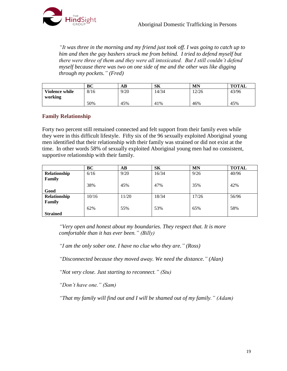

*"It was three in the morning and my friend just took off. I was going to catch up to him and then the gay bashers struck me from behind. I tried to defend myself but there were three of them and they were all intoxicated. But I still couldn't defend myself because there was two on one side of me and the other was like digging through my pockets." (Fred)*

|                       | BC   | AВ   | SК    | MN    | <b>TOTAL</b> |
|-----------------------|------|------|-------|-------|--------------|
| <b>Violence while</b> | 8/16 | 9/20 | 14/34 | 12/26 | 43/96        |
| working               |      |      |       |       |              |
|                       | 50%  | 45%  | 41%   | 46%   | 45%          |

#### <span id="page-18-0"></span>**Family Relationship**

Forty two percent still remained connected and felt support from their family even while they were in this difficult lifestyle. Fifty six of the 96 sexually exploited Aboriginal young men identified that their relationship with their family was strained or did not exist at the time. In other words 58% of sexually exploited Aboriginal young men had no consistent, supportive relationship with their family.

|                 | BC    | $\mathbf{A}\mathbf{B}$ | <b>SK</b> | <b>MN</b> | <b>TOTAL</b> |
|-----------------|-------|------------------------|-----------|-----------|--------------|
| Relationship    | 6/16  | 9/20                   | 16/34     | 9/26      | 40/96        |
| Family          |       |                        |           |           |              |
|                 | 38%   | 45%                    | 47%       | 35%       | 42%          |
| Good            |       |                        |           |           |              |
| Relationship    | 10/16 | 11/20                  | 18/34     | 17/26     | 56/96        |
| Family          |       |                        |           |           |              |
|                 | 62%   | 55%                    | 53%       | 65%       | 58%          |
| <b>Strained</b> |       |                        |           |           |              |

*"Very open and honest about my boundaries. They respect that. It is more comfortable than it has ever been." (Billy)*

*"I am the only sober one. I have no clue who they are." (Ross)*

*"Disconnected because they moved away. We need the distance." (Alan)*

*"Not very close. Just starting to reconnect." (Stu)*

*"Don't have one." (Sam)*

*"That my family will find out and I will be shamed out of my family." (Adam)*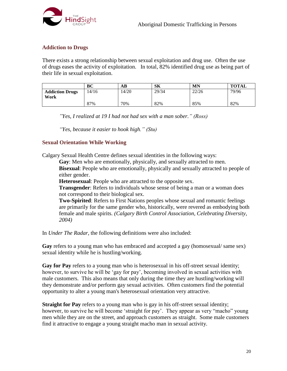

#### <span id="page-19-0"></span>**Addiction to Drugs**

There exists a strong relationship between sexual exploitation and drug use. Often the use of drugs eases the activity of exploitation. In total, 82% identified drug use as being part of their life in sexual exploitation.

|                        | BC    | AВ    | SK    | <b>MN</b> | <b>TOTAL</b> |
|------------------------|-------|-------|-------|-----------|--------------|
| <b>Addiction Drugs</b> | 14/16 | 14/20 | 29/34 | 22/26     | 79/96        |
| Work                   | 87%   | 70%   | 82%   | 85%       | 82%          |

*"Yes, I realized at 19 I had not had sex with a man sober." (Ross)*

*"Yes, because it easier to hook high." (Stu)*

#### <span id="page-19-1"></span>**Sexual Orientation While Working**

Calgary Sexual Health Centre defines sexual identities in the following ways:

**Gay**: Men who are emotionally, physically, and sexually attracted to men.

**Bisexual:** People who are emotionally, physically and sexually attracted to people of either gender.

**Heterosexual**: People who are attracted to the opposite sex.

**Transgender:** Refers to individuals whose sense of being a man or a woman does not correspond to their biological sex.

**Two-Spirited**: Refers to First Nations peoples whose sexual and romantic feelings are primarily for the same gender who, historically, were revered as embodying both female and male spirits. *(Calgary Birth Control Association, Celebrating Diversity, 2004)*

In *Under The Radar*, the following definitions were also included:

**Gay** refers to a young man who has embraced and accepted a gay (homosexual/ same sex) sexual identity while he is hustling/working.

**Gay for Pay** refers to a young man who is heterosexual in his off-street sexual identity; however, to survive he will be 'gay for pay', becoming involved in sexual activities with male customers. This also means that only during the time they are hustling/working will they demonstrate and/or perform gay sexual activities. Often customers find the potential opportunity to alter a young man's heterosexual orientation very attractive.

**Straight for Pay** refers to a young man who is gay in his off-street sexual identity; however, to survive he will become 'straight for pay'. They appear as very "macho" young men while they are on the street, and approach customers as straight. Some male customers find it attractive to engage a young straight macho man in sexual activity.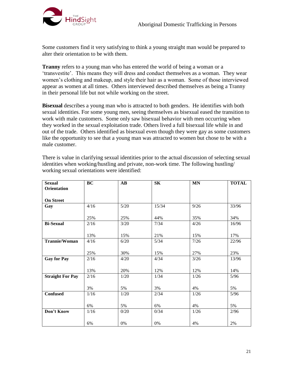

Some customers find it very satisfying to think a young straight man would be prepared to alter their orientation to be with them.

**Tranny** refers to a young man who has entered the world of being a woman or a 'transvestite'. This means they will dress and conduct themselves as a woman. They wear women's clothing and makeup, and style their hair as a woman. Some of those interviewed appear as women at all times. Others interviewed described themselves as being a Tranny in their personal life but not while working on the street.

**Bisexual** describes a young man who is attracted to both genders. He identifies with both sexual identities. For some young men, seeing themselves as bisexual eased the transition to work with male customers. Some only saw bisexual behavior with men occurring when they worked in the sexual exploitation trade. Others lived a full bisexual life while in and out of the trade. Others identified as bisexual even though they were gay as some customers like the opportunity to see that a young man was attracted to women but chose to be with a male customer.

There is value in clarifying sexual identities prior to the actual discussion of selecting sexual identities when working/hustling and private, non-work time. The following hustling/ working sexual orientations were identified:

| <b>Sexual</b>           | BC   | $\mathbf{A}\mathbf{B}$ | <b>SK</b> | <b>MN</b> | <b>TOTAL</b> |
|-------------------------|------|------------------------|-----------|-----------|--------------|
| Orientation             |      |                        |           |           |              |
|                         |      |                        |           |           |              |
| <b>On Street</b>        |      |                        |           |           |              |
| Gay                     | 4/16 | 5/20                   | 15/34     | 9/26      | 33/96        |
|                         |      |                        |           |           |              |
|                         | 25%  | 25%                    | 44%       | 35%       | 34%          |
| <b>Bi-Sexual</b>        | 2/16 | 3/20                   | 7/34      | 4/26      | 16/96        |
|                         |      |                        |           |           |              |
|                         | 13%  | 15%                    | 21%       | 15%       | 17%          |
| <b>Trannie/Woman</b>    | 4/16 | 6/20                   | 5/34      | 7/26      | 22/96        |
|                         |      |                        |           |           |              |
|                         | 25%  | 30%                    | 15%       | 27%       | 23%          |
| <b>Gay for Pay</b>      | 2/16 | 4/20                   | 4/34      | $3/26$    | 13/96        |
|                         |      |                        |           |           |              |
|                         | 13%  | 20%                    | 12%       | 12%       | 14%          |
| <b>Straight For Pay</b> | 2/16 | 1/20                   | 1/34      | 1/26      | 5/96         |
|                         |      |                        |           |           |              |
|                         | 3%   | 5%                     | 3%        | 4%        | 5%           |
| <b>Confused</b>         | 1/16 | 1/20                   | 2/34      | 1/26      | $5/96$       |
|                         |      |                        |           |           |              |
|                         | 6%   | 5%                     | 6%        | 4%        | 5%           |
| Don't Know              | 1/16 | 0/20                   | 0/34      | 1/26      | 2/96         |
|                         |      |                        |           |           |              |
|                         | 6%   | 0%                     | 0%        | 4%        | 2%           |
|                         |      |                        |           |           |              |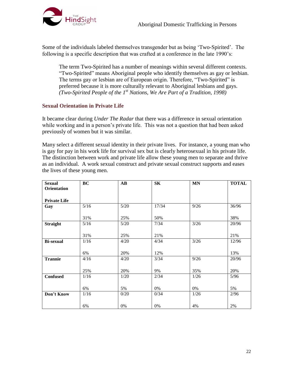

Some of the individuals labeled themselves transgender but as being 'Two-Spirited'. The following is a specific description that was crafted at a conference in the late 1990's:

The term Two-Spirited has a number of meanings within several different contexts. "Two-Spirited" means Aboriginal people who identify themselves as gay or lesbian. The terms gay or lesbian are of European origin. Therefore, "Two-Spirited" is preferred because it is more culturally relevant to Aboriginal lesbians and gays. *(Two-Spirited People of the 1st Nations, We Are Part of a Tradition, 1998)*

#### <span id="page-21-0"></span>**Sexual Orientation in Private Life**

It became clear during *Under The Radar* that there was a difference in sexual orientation while working and in a person's private life. This was not a question that had been asked previously of women but it was similar.

Many select a different sexual identity in their private lives. For instance, a young man who is gay for pay in his work life for survival sex but is clearly heterosexual in his private life. The distinction between work and private life allow these young men to separate and thrive as an individual. A work sexual construct and private sexual construct supports and eases the lives of these young men.

| <b>Sexual</b><br>Orientation | BC   | $\mathbf{A}\mathbf{B}$ | S <sub>K</sub> | <b>MN</b> | <b>TOTAL</b> |
|------------------------------|------|------------------------|----------------|-----------|--------------|
| <b>Private Life</b>          |      |                        |                |           |              |
| Gay                          | 5/16 | $5/20$                 | 17/34          | 9/26      | 36/96        |
|                              | 31%  | 25%                    | 50%            |           | 38%          |
| <b>Straight</b>              | 5/16 | $5/20$                 | 7/34           | $3/26$    | 20/96        |
|                              | 31%  | 25%                    | 21%            |           | 21%          |
| <b>Bi-sexual</b>             | 1/16 | 4/20                   | 4/34           | $3/26$    | 12/96        |
|                              | 6%   | 20%                    | 12%            |           | 13%          |
| <b>Trannie</b>               | 4/16 | 4/20                   | 3/34           | 9/26      | 20/96        |
|                              | 25%  | 20%                    | 9%             | 35%       | 20%          |
| <b>Confused</b>              | 1/16 | 1/20                   | 2/34           | 1/26      | 5/96         |
|                              | 6%   | 5%                     | 0%             | 0%        | 5%           |
| Don't Know                   | 1/16 | 0/20                   | 0/34           | 1/26      | 2/96         |
|                              | 6%   | 0%                     | 0%             | 4%        | 2%           |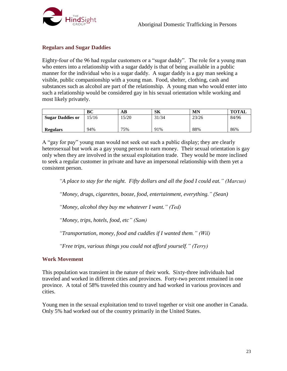

#### <span id="page-22-0"></span>**Regulars and Sugar Daddies**

Eighty-four of the 96 had regular customers or a "sugar daddy". The role for a young man who enters into a relationship with a sugar daddy is that of being available in a public manner for the individual who is a sugar daddy. A sugar daddy is a gay man seeking a visible, public companionship with a young man. Food, shelter, clothing, cash and substances such as alcohol are part of the relationship. A young man who would enter into such a relationship would be considered gay in his sexual orientation while working and most likely privately.

|                         | ВC   | AВ   | <b>SK</b> | MN    | <b>TOTAL</b> |
|-------------------------|------|------|-----------|-------|--------------|
| <b>Sugar Daddies or</b> | 5/16 | 5/20 | 31/34     | 23/26 | 84/96        |
| <b>Regulars</b>         | 94%  | 75%  | 91%       | 88%   | 86%          |

A "gay for pay" young man would not seek out such a public display; they are clearly heterosexual but work as a gay young person to earn money. Their sexual orientation is gay only when they are involved in the sexual exploitation trade. They would be more inclined to seek a regular customer in private and have an impersonal relationship with them yet a consistent person.

*"A place to stay for the night. Fifty dollars and all the food I could eat." (Marcus)*

*"Money, drugs, cigarettes, booze, food, entertainment, everything." (Sean)*

*"Money, alcohol they buy me whatever I want." (Ted)*

*"Money, trips, hotels, food, etc" (Sam)*

*"Transportation, money, food and cuddles if I wanted them." (Wil)*

*"Free trips, various things you could not afford yourself." (Terry)*

#### <span id="page-22-1"></span>**Work Movement**

This population was transient in the nature of their work. Sixty-three individuals had traveled and worked in different cities and provinces. Forty-two percent remained in one province. A total of 58% traveled this country and had worked in various provinces and cities.

Young men in the sexual exploitation tend to travel together or visit one another in Canada. Only 5% had worked out of the country primarily in the United States.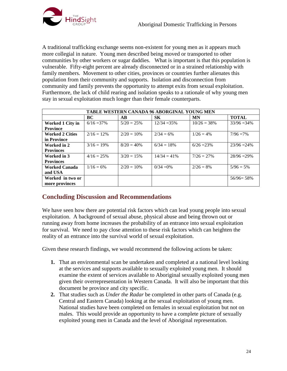

A traditional trafficking exchange seems non-existent for young men as it appears much more collegial in nature. Young men described being moved or transported to other communities by other workers or sugar daddies. What is important is that this population is vulnerable. Fifty-eight percent are already disconnected or in a strained relationship with family members. Movement to other cities, provinces or countries further alienates this population from their community and supports. Isolation and disconnection from community and family prevents the opportunity to attempt exits from sexual exploitation. Furthermore, the lack of child rearing and isolation speaks to a rationale of why young men stay in sexual exploitation much longer than their female counterparts.

| <b>TABLE WESTERN CANADA 96 ABORGINAL YOUNG MEN</b> |               |                         |                |                |                |  |  |  |  |
|----------------------------------------------------|---------------|-------------------------|----------------|----------------|----------------|--|--|--|--|
|                                                    | BC            | $\mathbf{A} \mathbf{B}$ | <b>SK</b>      | <b>MN</b>      | <b>TOTAL</b>   |  |  |  |  |
| <b>Worked 1 City in</b>                            | $6/16 = 37\%$ | $5/20 = 25%$            | $12/34 = 35\%$ | $10/26 = 38\%$ | $33/96 = 34\%$ |  |  |  |  |
| <b>Province</b>                                    |               |                         |                |                |                |  |  |  |  |
| <b>Worked 2 Cities</b>                             | $2/16 = 12\%$ | $2/20 = 10\%$           | $2/34 = 6\%$   | $1/26 = 4\%$   | $7/96 = 7\%$   |  |  |  |  |
| in Province                                        |               |                         |                |                |                |  |  |  |  |
| Worked in 2                                        | $3/16 = 19\%$ | $8/20 = 40\%$           | $6/34 = 18%$   | $6/26 = 23%$   | $23/96 = 24\%$ |  |  |  |  |
| <b>Provinces</b>                                   |               |                         |                |                |                |  |  |  |  |
| Worked in 3                                        | $4/16 = 25%$  | $3/20 = 15%$            | $14/34 = 41\%$ | $7/26 = 27\%$  | $28/96 = 29\%$ |  |  |  |  |
| <b>Provinces</b>                                   |               |                         |                |                |                |  |  |  |  |
| <b>Worked Canada</b>                               | $1/16 = 6\%$  | $2/20 = 10\%$           | $0/34 = 0\%$   | $2/26 = 8\%$   | $5/96 = 5%$    |  |  |  |  |
| and USA                                            |               |                         |                |                |                |  |  |  |  |
| Worked in two or                                   |               |                         |                |                | $56/96 = 58\%$ |  |  |  |  |
| more provinces                                     |               |                         |                |                |                |  |  |  |  |

## <span id="page-23-0"></span>**Concluding Discussion and Recommendations**

We have seen how there are potential risk factors which can lead young people into sexual exploitation. A background of sexual abuse, physical abuse and being thrown out or running away from home increases the probability of an entrance into sexual exploitation for survival. We need to pay close attention to these risk factors which can heighten the reality of an entrance into the survival world of sexual exploitation.

Given these research findings, we would recommend the following actions be taken:

- **1.** That an environmental scan be undertaken and completed at a national level looking at the services and supports available to sexually exploited young men. It should examine the extent of services available to Aboriginal sexually exploited young men given their overrepresentation in Western Canada. It will also be important that this document be province and city specific.
- **2.** That studies such as *Under the Radar* be completed in other parts of Canada (e.g. Central and Eastern Canada) looking at the sexual exploitation of young men. National studies have been completed on females in sexual exploitation but not on males. This would provide an opportunity to have a complete picture of sexually exploited young men in Canada and the level of Aboriginal representation.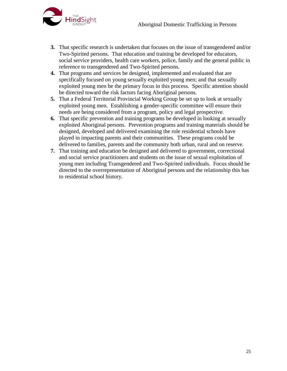

- **3.** That specific research is undertaken that focuses on the issue of transgendered and/or Two-Spirited persons. That education and training be developed for educators, social service providers, health care workers, police, family and the general public in reference to transgendered and Two-Spirited persons.
- **4.** That programs and services be designed, implemented and evaluated that are specifically focused on young sexually exploited young men; and that sexually exploited young men be the primary focus in this process. Specific attention should be directed toward the risk factors facing Aboriginal persons.
- **5.** That a Federal Territorial Provincial Working Group be set up to look at sexually exploited young men. Establishing a gender-specific committee will ensure their needs are being considered from a program, policy and legal prospective.
- **6.** That specific prevention and training programs be developed in looking at sexually exploited Aboriginal persons. Prevention programs and training materials should be designed, developed and delivered examining the role residential schools have played in impacting parents and their communities. These programs could be delivered to families, parents and the community both urban, rural and on reserve.
- **7.** That training and education be designed and delivered to government, correctional and social service practitioners and students on the issue of sexual exploitation of young men including Transgendered and Two-Spirited individuals. Focus should be directed to the overrepresentation of Aboriginal persons and the relationship this has to residential school history.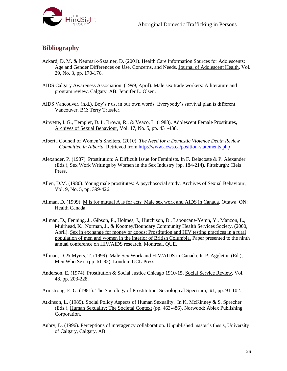

## <span id="page-25-0"></span>**Bibliography**

- Ackard, D. M. & Neumark-Sztainer, D. (2001). Health Care Information Sources for Adolescents: Age and Gender Differences on Use, Concerns, and Needs. Journal of Adolescent Health, Vol. 29, No. 3, pp. 170-176.
- AIDS Calgary Awareness Association. (1999, April). Male sex trade workers: A literature and program review. Calgary, AB: Jennifer L. Olsen.
- AIDS Vancouver. (n.d.). Boy's r us, in our own words: Everybody's survival plan is different. Vancouver, BC: Terry Trussler.
- Ainyette, I. G., Templer, D. I., Brown, R., & Veaco, L. (1988). Adolescent Female Prostitutes, Archives of Sexual Behaviour, Vol. 17, No. 5, pp. 431-438.
- Alberta Council of Women's Shelters. (2010). *The Need for a Domestic Violence Death Review Committee in Alberta.* Retrieved from<http://www.acws.ca/position-statements.php>
- Alexander, P. (1987). Prostitution: A Difficult Issue for Feminists. In F. Delacoste & P. Alexander (Eds.), Sex Work Writings by Women in the Sex Industry (pp. 184-214). Pittsburgh: Cleis Press.
- Allen, D.M. (1980). Young male prostitutes: A psychosocial study. Archives of Sexual Behaviour, Vol. 9, No. 5, pp. 399-426.
- Allman, D. (1999). M is for mutual A is for acts: Male sex work and AIDS in Canada. Ottawa, ON: Health Canada.
- Allman, D., Fenning, J., Gibson, P., Holmes, J., Hutchison, D., Laboucane-Yemn, Y., Manzon, L., Muirhead, K., Norman, J., & Kootney/Boundary Community Health Services Society. (2000, April). Sex in exchange for money or goods: Prostitution and HIV testing practices in a rural population of men and women in the interior of British Columbia. Paper presented to the ninth annual conference on HIV/AIDS research, Montreal, QUE.
- Allman, D. & Myers, T. (1999). Male Sex Work and HIV/AIDS in Canada. In P. Aggleton (Ed.), Men Who Sex. (pp. 61-82). London: UCL Press.
- Anderson, E. (1974). Prostitution & Social Justice Chicago 1910-15. Social Service Review, Vol. 48, pp. 203-228.
- Armstrong, E. G. (1981). The Sociology of Prostitution. Sociological Spectrum, #1, pp. 91-102.
- Atkinson, L. (1989). Social Policy Aspects of Human Sexuality. In K. McKinney & S. Sprecher (Eds.), Human Sexuality: The Societal Context (pp. 463-486). Norwood: Ablex Publishing Corporation.
- Aubry, D. (1996). Perceptions of interagency collaboration. Unpublished master's thesis, University of Calgary, Calgary, AB.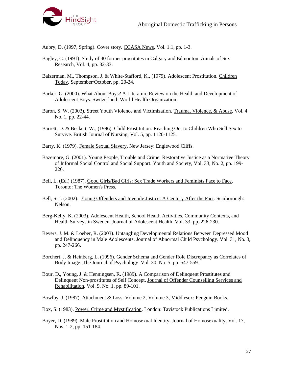

Aubry, D. (1997, Spring). Cover story. CCASA News, Vol. 1.1, pp. 1-3.

- Bagley, C. (1991). Study of 40 former prostitutes in Calgary and Edmonton. Annals of Sex Research, Vol. 4, pp. 32-33.
- Baizerman, M., Thompson, J. & White-Stafford, K., (1979). Adolescent Prostitution. Children Today, September/October, pp. 20-24.
- Barker, G. (2000). What About Boys? A Literature Review on the Health and Development of Adolescent Boys. Switzerland: World Health Organization.
- Baron, S. W. (2003). Street Youth Violence and Victimization. Trauma, Violence, & Abuse, Vol. 4 No. 1, pp. 22-44.
- Barrett, D. & Beckett, W., (1996). Child Prostitution: Reaching Out to Children Who Sell Sex to Survive. British Journal of Nursing, Vol. 5, pp. 1120-1125.
- Barry, K. (1979). Female Sexual Slavery. New Jersey: Englewood Cliffs.
- Bazemore, G. (2001). Young People, Trouble and Crime: Restorative Justice as a Normative Theory of Informal Social Control and Social Support. Youth and Society, Vol. 33, No. 2, pp. 199- 226.
- Bell, L. (Ed.) (1987). Good Girls/Bad Girls: Sex Trade Workers and Feminists Face to Face. Toronto: The Women's Press.
- Bell, S. J. (2002). Young Offenders and Juvenile Justice: A Century After the Fact. Scarborough: Nelson.
- Berg-Kelly, K. (2003). Adolescent Health, School Health Activities, Community Contexts, and Health Surveys in Sweden. Journal of Adolescent Health. Vol. 33, pp. 226-230.
- Beyers, J. M. & Loeber, R. (2003). Untangling Developmental Relations Between Depressed Mood and Delinquency in Male Adolescents. Journal of Abnormal Child Psychology. Vol. 31, No. 3, pp. 247-266.
- Borchert, J. & Heinberg, L. (1996). Gender Schema and Gender Role Discrepancy as Correlates of Body Image. The Journal of Psychology. Vol. 30, No. 5, pp. 547-559.
- Bour, D., Young, J. & Henningsen, R. (1989). A Comparison of Delinquent Prostitutes and Delinquent Non-prostitutes of Self Concept. Journal of Offender Counselling Services and Rehabilitation, Vol. 9, No. 1, pp. 89-101.

Bowlby, J. (1987). Attachment & Loss: Volume 2, Volume 3, Middlesex: Penguin Books.

- Box, S. (1983). Power, Crime and Mystification. London: Tavistock Publications Limited.
- Boyer, D. (1989). Male Prostitution and Homosexual Identity. Journal of Homosexuality, Vol. 17, Nos. 1-2, pp. 151-184.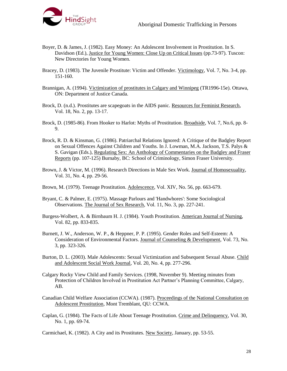

- Boyer, D. & James, J. (1982). Easy Money: An Adolescent Involvement in Prostitution. In S. Davidson (Ed.), Justice for Young Women: Close Up on Critical Issues (pp.73-97). Tuscon: New Directories for Young Women.
- Bracey, D. (1983). The Juvenile Prostitute: Victim and Offender. Victimology, Vol. 7, No. 3-4, pp. 151-160.
- Brannigan, A. (1994). Victimization of prostitutes in Calgary and Winnipeg (TR1996-15e). Ottawa, ON: Department of Justice Canada.
- Brock, D. (n.d.). Prostitutes are scapegoats in the AIDS panic. Resources for Feminist Research, Vol. 18, No. 2, pp. 13-17.
- Brock, D. (1985-86). From Hooker to Harlot: Myths of Prostitution. Broadside, Vol. 7, No.6, pp. 8-9.
- Brock, R. D. & Kinsman, G. (1986). Patriarchal Relations Ignored: A Critique of the Badgley Report on Sexual Offences Against Children and Youths. In J. Lowman, M.A. Jackson, T.S. Palys & S. Gavigan (Eds.), Regulating Sex: An Anthology of Commentaries on the Badgley and Fraser Reports (pp. 107-125) Burnaby, BC: School of Criminology, Simon Fraser University.
- Brown, J. & Victor, M. (1996). Research Directions in Male Sex Work. Journal of Homosexuality, Vol. 31, No. 4, pp. 29-56.
- Brown, M. (1979). Teenage Prostitution. Adolescence, Vol. XIV, No. 56, pp. 663-679.
- Bryant, C. & Palmer, E. (1975). Massage Parlours and 'Handwhores': Some Sociological Observations. The Journal of Sex Research, Vol. 11, No. 3, pp. 227-241.
- Burgess-Wolbert, A. & Birnbaum H. J. (1984). Youth Prostitution. American Journal of Nursing, Vol. 82, pp. 833-835.
- Burnett, J. W., Anderson, W. P., & Heppner, P. P. (1995). Gender Roles and Self-Esteem: A Consideration of Environmental Factors. Journal of Counseling & Development, Vol. 73, No. 3, pp. 323-326.
- Burton, D. L. (2003). Male Adolescents: Sexual Victimization and Subsequent Sexual Abuse. Child and Adolescent Social Work Journal, Vol. 20, No. 4, pp. 277-296.
- Calgary Rocky View Child and Family Services. (1998, November 9). Meeting minutes from Protection of Children Involved in Prostitution Act Partner's Planning Committee, Calgary, AB.
- Canadian Child Welfare Association (CCWA). (1987). Proceedings of the National Consultation on Adolescent Prostitution, Mont Tremblant, QU: CCWA.
- Caplan, G. (1984). The Facts of Life About Teenage Prostitution. Crime and Delinquency, Vol. 30, No. 1, pp. 69-74.

Carmichael, K. (1982). A City and its Prostitutes. New Society, January, pp. 53-55.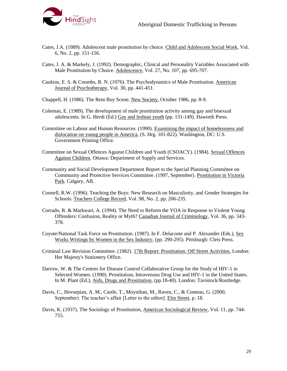

- Cates, J.A. (1989). Adolescent male prostitution by choice. Child and Adolescent Social Work, Vol. 6, No. 2, pp. 151-156.
- Cates, J. A. & Markely, J. (1992). Demographic, Clinical and Personality Variables Associated with Male Prostitution by Choice. Adolescence, Vol. 27, No. 107, pp. 695-707.
- Caukins, E. S. & Coombs, R. N. (1976). The Psychodynamics of Male Prostitution. American Journal of Psychotherapy, Vol. 30, pp. 441-451.

Chappell, H. (1986). The Rent Boy Scene. New Society, October 1986, pp. 8-9.

- Coleman, E. (1989). The development of male prostitution activity among gay and bisexual adolescents. In G. Herdt (Ed.) Gay and lesbian youth (pp. 131-149). Haworth Press.
- Committee on Labour and Human Resources. (1990). Examining the impact of homelessness and dislocation on young people in America, (S. Hrg. 101-822). Washington, DC: U.S. Government Printing Office.
- Committee on Sexual Offences Against Children and Youth (CSOACY). (1984). Sexual Offences Against Children. Ottawa: Department of Supply and Services.
- Community and Social Development Department Report to the Special Planning Committee on Community and Protective Services Committee. (1997, September). Prostitution in Victoria Park. Calgary, AB.
- Connell, R.W. (1996). Teaching the Boys: New Research on Masculinity, and Gender Strategies for Schools. Teachers College Record, Vol. 98, No. 2, pp. 206-235.
- Corrado, R. & Markwart, A. (1994). The Need to Reform the YOA in Response to Violent Young Offenders: Confusion, Reality or Myth? Canadian Journal of Criminology, Vol. 36, pp. 343- 378.
- Coyote/National Task Force on Prostitution. (1987). In F. Delacoste and P. Alexander (Eds.), Sex Works Writings by Women in the Sex Industry, (pp. 290-295). Pittsburgh: Cleis Press.
- Criminal Law Revision Committee. (1982). 17th Report: Prostitution: Off Street Activities, London: Her Majesty's Stationery Office.
- Darrow, W. & The Centres for Disease Control Collaborative Group for the Study of HIV-1 in Selected Women. (1990). Prostitution, Intravenous Drug Use and HIV-1 in the United States. In M. Plant (Ed.), Aids, Drugs and Prostitution, (pp.18-40). London: Tavistock/Routledge.
- Davis, C., Hovsepian, A. M., Castle, T., Moynihan, M., Raven, C., & Comeau, G. (2000, September). The teacher's affair [Letter to the editor]. Elm Street, p. 18.
- Davis, K. (1937). The Sociology of Prostitution, American Sociological Review, Vol. 11, pp. 744- 755.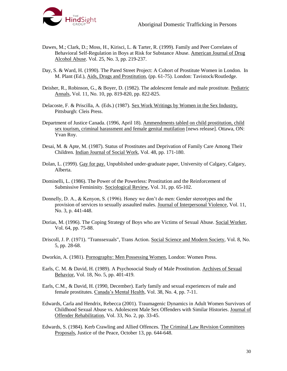

- Dawes, M.; Clark, D.; Moss, H., Kirisci, L. & Tarter, R. (1999). Family and Peer Correlates of Behavioral Self-Regulation in Boys at Risk for Substance Abuse. American Journal of Drug Alcohol Abuse. Vol. 25, No. 3, pp. 219-237.
- Day, S. & Ward, H. (1990). The Pared Street Project: A Cohort of Prostitute Women in London. In M. Plant (Ed.), Aids, Drugs and Prostitution, (pp. 61-75). London: Tavistock/Routledge.
- Deisher, R., Robinson, G., & Boyer, D. (1982). The adolescent female and male prostitute. Pediatric Annals, Vol. 11, No. 10, pp. 819-820, pp. 822-825.
- Delacoste, F. & Priscilla, A. (Eds.) (1987). Sex Work Writings by Women in the Sex Industry, Pittsburgh: Cleis Press.
- Department of Justice Canada. (1996, April 18). Ammendments tabled on child prostitution, child sex tourism, criminal harassment and female genital mutilation [news release]. Ottawa, ON: Yvan Roy.
- Desai, M. & Apte, M. (1987). Status of Prostitutes and Deprivation of Family Care Among Their Children. Indian Journal of Social Work, Vol. 48, pp. 171-180.
- Dolan, L. (1999). Gay for pay. Unpublished under-graduate paper, University of Calgary, Calgary, Alberta.
- Dominelli, L. (1986). The Power of the Powerless: Prostitution and the Reinforcement of Submissive Femininity. Sociological Review, Vol. 31, pp. 65-102.
- Donnelly, D. A., & Kenyon, S. (1996). Honey we don't do men: Gender stereotypes and the provision of services to sexually assaulted males. Journal of Interpersonal Violence, Vol. 11, No. 3, p. 441-448.
- Dorias, M. (1996). The Coping Strategy of Boys who are Victims of Sexual Abuse. Social Worker, Vol. 64, pp. 75-88.
- Driscoll, J. P. (1971). "Transsexuals", Trans Action. Social Science and Modern Society, Vol. 8, No. 5, pp. 28-68.
- Dworkin, A. (1981). Pornography: Men Possessing Women, London: Women Press.
- Earls, C. M. & David, H. (1989). A Psychosocial Study of Male Prostitution. Archives of Sexual Behavior, Vol. 18, No. 5, pp. 401-419.
- Earls, C.M., & David, H. (1990, December). Early family and sexual experiences of male and female prostitutes. Canada's Mental Health, Vol. 38, No. 4, pp. 7-11.
- Edwards, Carla and Hendrix, Rebecca (2001). Traumagenic Dynamics in Adult Women Survivors of Childhood Sexual Abuse vs. Adolescent Male Sex Offenders with Similar Histories. Journal of Offender Rehabilitation, Vol. 33, No. 2, pp. 33-45.
- Edwards, S. (1984). Kerb Crawling and Allied Offences. The Criminal Law Revision Committees Proposals, Justice of the Peace, October 13, pp. 644-648.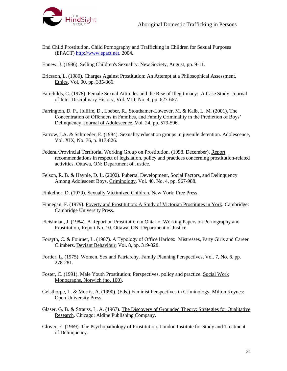

- End Child Prostitution, Child Pornography and Trafficking in Children for Sexual Purposes (EPACT) [http://www.epact.net,](http://www.epact.net.htm/) 2004.
- Ennew, J. (1986). Selling Children's Sexuality. New Society, August, pp. 9-11.
- Ericsson, L. (1980). Charges Against Prostitution: An Attempt at a Philosophical Assessment. Ethics, Vol. 90, pp. 335-366.
- Fairchilds, C. (1978). Female Sexual Attitudes and the Rise of Illegitimacy: A Case Study. Journal of Inter Disciplinary History, Vol. VIII, No. 4, pp. 627-667.
- Farrington, D. P., Jolliffe, D., Loeber, R., Stouthamer-Lowever, M. & Kalb, L. M. (2001). The Concentration of Offenders in Families, and Family Criminality in the Prediction of Boys' Delinquency. Journal of Adolescence, Vol. 24, pp. 579-596.
- Farrow, J.A. & Schroeder, E. (1984). Sexuality education groups in juvenile detention. Adolescence, Vol. XIX, No. 76, p. 817-826.
- Federal/Provincial Territorial Working Group on Prostitution. (1998, December). Report recommendations in respect of legislation, policy and practices concerning prostitution-related activities. Ottawa, ON: Department of Justice.
- Felson, R. B. & Haynie, D. L. (2002). Pubertal Development, Social Factors, and Delinquency Among Adolescent Boys. Criminology, Vol. 40, No. 4, pp. 967-988.
- Finkelhor, D. (1979). Sexually Victimized Children. New York: Free Press.
- Finnegan, F. (1979). Poverty and Prostitution: A Study of Victorian Prostitutes in York. Cambridge: Cambridge University Press.
- Fleishman, J. (1984). A Report on Prostitution in Ontario: Working Papers on Pornography and Prostitution, Report No. 10. Ottawa, ON: Department of Justice.
- Forsyth, C. & Fournet, L. (1987). A Typology of Office Harlots: Mistresses, Party Girls and Career Climbers. Deviant Behaviour, Vol. 8, pp. 319-328.
- Fortier, L. (1975). Women, Sex and Patriarchy. Family Planning Perspectives, Vol. 7, No. 6, pp. 278-281.
- Foster, C. (1991). Male Youth Prostitution: Perspectives, policy and practice. Social Work Monographs, Norwich (no. 100).
- Gelsthorpe, L. & Morris, A. (1990). (Eds.) Feminist Perspectives in Criminology. Milton Keynes: Open University Press.
- Glaser, G. B. & Strauss, L. A. (1967). The Discovery of Grounded Theory: Strategies for Qualitative Research. Chicago: Aldine Publishing Company.
- Glover, E. (1969). The Psychopathology of Prostitution. London Institute for Study and Treatment of Delinquency.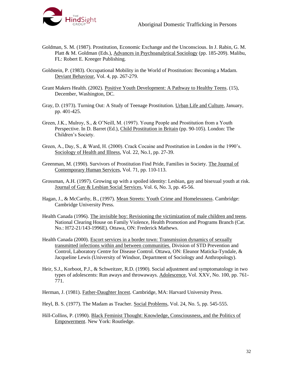

- Goldman, S. M. (1987). Prostitution, Economic Exchange and the Unconscious. In J. Rabin, G. M. Platt & M. Goldman (Eds.), Advances in Psychoanalytical Sociology (pp. 185-209). Malibu, FL: Robert E. Kreeger Publishing.
- Goldstein, P. (1983). Occupational Mobility in the World of Prostitution: Becoming a Madam. Deviant Behaviour, Vol. 4, pp. 267-279.
- Grant Makers Health. (2002). Positive Youth Development: A Pathway to Healthy Teens. (15), December, Washington, DC.
- Gray, D. (1973). Turning Out: A Study of Teenage Prostitution. Urban Life and Culture, January, pp. 401-425.
- Green, J.K., Mulroy, S., & O'Neill, M. (1997). Young People and Prostitution from a Youth Perspective. In D. Barret (Ed.), Child Prostitution in Britain (pp. 90-105). London: The Children's Society.
- Green, A., Day, S., & Ward, H. (2000). Crack Cocaine and Prostitution in London in the 1990's. Sociology of Health and Illness, Vol. 22, No.1, pp. 27-39.
- Greenman, M. (1990). Survivors of Prostitution Find Pride, Families in Society. The Journal of Contemporary Human Services, Vol. 71, pp. 110-113.
- Grossman, A.H. (1997). Growing up with a spoiled identity: Lesbian, gay and bisexual youth at risk. Journal of Gay & Lesbian Social Services, Vol. 6, No. 3, pp. 45-56.
- Hagan, J., & McCarthy, B., (1997). Mean Streets: Youth Crime and Homelessness. Cambridge: Cambridge University Press.
- Health Canada (1996). The invisible boy: Revisioning the victimization of male children and teens. National Clearing House on Family Violence, Health Promotion and Programs Branch (Cat. No.: H72-21/143-1996E). Ottawa, ON: Frederick Mathews.
- Health Canada (2000). Escort services in a border town: Transmission dynamics of sexually transmitted infections within and between communities. Division of STD Prevention and Control, Laboratory Centre for Disease Control. Ottawa, ON: Eleanor Maticka-Tyndale, & Jacqueline Lewis (University of Windsor, Department of Sociology and Anthropology).
- Heir, S.J., Korboot, P.J., & Schweitzer, R.D. (1990). Social adjustment and symptomatology in two types of adolescents: Run aways and throwaways. Adolescence, Vol. XXV, No. 100, pp. 761- 771.
- Herman, J. (1981). Father-Daughter Incest. Cambridge, MA: Harvard University Press.
- Heyl, B. S. (1977). The Madam as Teacher. Social Problems, Vol. 24, No. 5, pp. 545-555.
- Hill-Collins, P. (1990). Black Feminist Thought: Knowledge, Consciousness, and the Politics of Empowerment. New York: Routledge.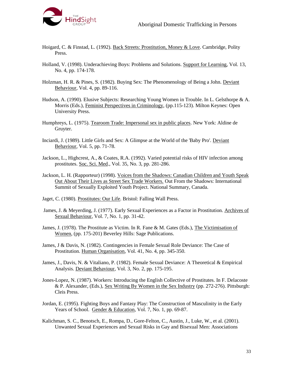

- Hoigard, C. & Finstad, L. (1992). Back Streets: Prostitution, Money & Love. Cambridge, Polity Press.
- Holland, V. (1998). Underachieving Boys: Problems and Solutions. Support for Learning, Vol. 13, No. 4, pp. 174-178.
- Holzman, H. R. & Pines, S. (1982). Buying Sex: The Phenomenology of Being a John. Deviant Behaviour, Vol. 4, pp. 89-116.
- Hudson, A. (1990). Elusive Subjects: Researching Young Women in Trouble. In L. Gelsthorpe & A. Morris (Eds.), Feminist Perspectives in Criminology, (pp.115-123). Milton Keynes: Open University Press.
- Humphreys, L. (1975). Tearoom Trade: Impersonal sex in public places. New York: Aldine de Gruyter.
- Inciardi, J. (1989). Little Girls and Sex: A Glimpse at the World of the 'Baby Pro'. Deviant Behaviour, Vol. 5, pp. 71-78.
- Jackson, L., Highcrest, A., & Coates, R.A. (1992). Varied potential risks of HIV infection among prostitutes. Soc. Sci. Med., Vol. 35, No. 3, pp. 281-286.
- Jackson, L. H. (Rapporteur) (1998). Voices from the Shadows: Canadian Children and Youth Speak Out About Their Lives as Street Sex Trade Workers. Out From the Shadows: International Summit of Sexually Exploited Youth Project. National Summary, Canada.
- Jaget, C. (1980). Prostitutes: Our Life. Bristol: Falling Wall Press.
- James, J. & Meyerding, J. (1977). Early Sexual Experiences as a Factor in Prostitution. Archives of Sexual Behaviour, Vol. 7, No. 1, pp. 31-42.
- James, J. (1978). The Prostitute as Victim. In R. Fane & M. Gates (Eds.), The Victimisation of Women, (pp. 175-201) Beverley Hills: Sage Publications.
- James, J & Davis, N. (1982). Contingencies in Female Sexual Role Deviance: The Case of Prostitution. Human Organisation, Vol. 41, No. 4, pp. 345-350.
- James, J., Davis, N. & Vitaliano, P. (1982). Female Sexual Deviance: A Theoretical & Empirical Analysis. Deviant Behaviour, Vol. 3, No. 2, pp. 175-195.
- Jones-Lopez, N. (1987). Workers: Introducing the English Collective of Prostitutes. In F. Delacoste & P. Alexander, (Eds.), Sex Writing By Women in the Sex Industry (pp. 272-276). Pittsburgh: Cleis Press.
- Jordan, E. (1995). Fighting Boys and Fantasy Play: The Construction of Masculinity in the Early Years of School. Gender & Education, Vol. 7, No. 1, pp. 69-87.
- Kalichman, S. C., Benotsch, E., Rompa, D., Gore-Felton, C., Austin, J., Luke, W., et al. (2001). Unwanted Sexual Experiences and Sexual Risks in Gay and Bisexual Men: Associations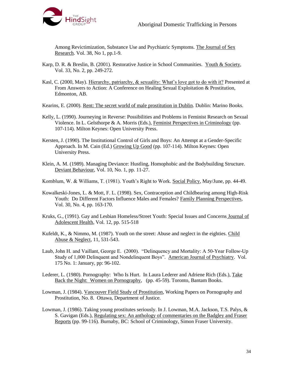

Among Revictimization, Substance Use and Psychiatric Symptoms. The Journal of Sex Research. Vol. 38, No 1, pp.1-9.

- Karp, D. R. & Breslin, B. (2001). Restorative Justice in School Communities. Youth & Society, Vol. 33, No. 2, pp. 249-272.
- Kasl, C. (2000, May). Hierarchy, patriarchy, & sexuality: What's love got to do with it? Presented at From Answers to Action: A Conference on Healing Sexual Exploitation & Prostitution, Edmonton, AB.
- Kearins, E. (2000). Rent: The secret world of male prostitution in Dublin. Dublin: Marino Books.
- Kelly, L. (1990). Journeying in Reverse: Possibilities and Problems in Feminist Research on Sexual Violence. In L. Gelsthorpe & A. Morris (Eds.), Feminist Perspectives in Criminology (pp. 107-114). Milton Keynes: Open University Press.
- Kersten, J. (1990). The Institutional Control of Girls and Boys: An Attempt at a Gender-Specific Approach. In M. Cain (Ed.) Growing Up Good (pp. 107-114). Milton Keynes: Open University Press.
- Klein, A. M. (1989). Managing Deviance: Hustling, Homophobic and the Bodybuilding Structure. Deviant Behaviour, Vol. 10, No. 1, pp. 11-27.

Kornblum, W. & Williams, T. (1981). Youth's Right to Work. Social Policy, May/June, pp. 44-49.

- Kowalkeski-Jones, L. & Mott, F. L. (1998). Sex, Contraception and Childbearing among High-Risk Youth: Do Different Factors Influence Males and Females? Family Planning Perspectives, Vol. 30, No. 4, pp. 163-170.
- Kruks, G., (1991). Gay and Lesbian Homeless/Street Youth: Special Issues and Concerns Journal of Adolescent Health*,* Vol. 12, pp. 515-518
- Kufeldt, K., & Nimmo, M. (1987). Youth on the street: Abuse and neglect in the eighties. Child Abuse & Neglect, 11, 531-543.
- Laub, John H. and Vaillant, George E. (2000). "Delinquency and Mortality: A 50-Year Follow-Up Study of 1,000 Delinquent and Nondelinquent Boys". American Journal of Psychiatry. Vol. 175 No. 1: January, pp: 96-102.
- Lederer, L. (1980). Pornography: Who Is Hurt. In Laura Lederer and Adriene Rich (Eds.), Take Back the Night: Women on Pornography, (pp. 45-59). Toronto, Bantam Books.
- Lowman, J. (1984). Vancouver Field Study of Prostitution, Working Papers on Pornography and Prostitution, No. 8. Ottawa, Department of Justice.
- Lowman, J. (1986). Taking young prostitutes seriously. In J. Lowman, M.A. Jackson, T.S. Palys, & S. Gavigan (Eds.), Regulating sex: An anthology of commentaries on the Badgley and Fraser Reports (pp. 99-116). Burnaby, BC: School of Criminology, Simon Fraser University.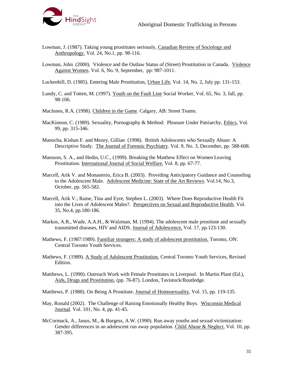

- Lowman, J. (1987). Taking young prostitutes seriously, Canadian Review of Sociology and Anthropology. Vol. 24, No.1, pp. 98-116.
- Lowman, John (2000). Violence and the Outlaw Status of (Street) Prostitution in Canada. Violence Against Women. Vol. 6, No. 9, September, pp: 987-1011.

Luckenbill, D. (1985). Entering Male Prostitution, Urban Life, Vol. 14, No. 2, July pp. 131-153.

- Lundy, C. and Totten, M. (1997). Youth on the Fault Line Social Worker*,* Vol. 65, No. 3, fall, pp. 98-106.
- MacInnes, R.A. (1998). Children in the Game. Calgary, AB: Street Teams.
- MacKinnon, C. (1989). Sexuality, Pornography & Method: Pleasure Under Patriarchy, Ethics, Vol. 99, pp. 315-346.
- Manocha, Kishan F. and Mezey, Gillian (1998). British Adolescents who Sexually Abuse: A Descriptive Study. The Journal of Forensic Psychiatry. Vol. 9, No. 3, December, pp. 588-608.
- Mansson, S. A., and Hedin, U.C., (1999). Breaking the Matthew Effect on Women Leaving Prostitution*.* International Journal of Social Welfare*,* Vol. 8, pp. 67-77.
- Marcell, Arik V. and Monasterio, Erica B. (2003). Providing Anticipatory Guidance and Counseling to the Adolescent Male. Adolescent Medicine: State of the Art Reviews. Vol.14, No.3, October, pp. 565-582.
- Marcell, Arik V.; Raine, Tina and Eyre, Stephen L. (2003). Where Does Reproductive Health Fit into the Lives of Adolescent Males?. Perspectives on Sexual and Reproductive Health. Vol. 35, No.4, pp.180-186.
- Markos, A.R., Wade, A.A.H., & Walzman, M. (1994). The adolescent male prostitute and sexually transmitted diseases, HIV and AIDS. Journal of Adolescence, Vol. 17, pp.123-130.
- Mathews, F. (1987/1989). Familiar strangers: A study of adolescent prostitution. Toronto, ON: Central Toronto Youth Services.
- Mathews, F. (1989). A Study of Adolescent Prostitution. Central Toronto Youth Services, Revised Edition.
- Matthews, L. (1990). Outreach Work with Female Prostitutes in Liverpool. In Martin Plant (Ed.), Aids, Drugs and Prostitution, (pp. 76-87). London, Tavistock/Routledge.

Matthews, P. (1988). On Being A Prostitute. Journal of Homosexuality, Vol. 15, pp. 119-135.

- May, Ronald (2002). The Challenge of Raising Emotionally Healthy Boys. Wisconsin Medical Journal. Vol. 101, No. 4, pp. 41-45.
- McCormack, A., Janus, M., & Burgess, A.W. (1990). Run away youths and sexual victimization: Gender differences in an adolescent run away population. Child Abuse & Neglect, Vol. 10, pp. 387-395.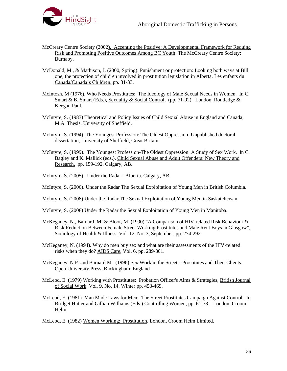

- McCreary Centre Society (2002). Accenting the Positive: A Developmental Framework for Reduing Risk and Promoting Positive Outcomes Among BC Youth. The McCreary Centre Society: Burnaby.
- McDonald, M., & Mathison, J. (2000, Spring). Punishment or protection: Looking both ways at Bill one, the protection of children involved in prostitution legislation in Alberta. Les enfants du Canada/Canada's Children, pp. 31-33.
- McIntosh, M (1976). Who Needs Prostitutes: The Ideology of Male Sexual Needs in Women. In C. Smart & B. Smart (Eds.), Sexuality & Social Control, (pp. 71-92). London, Routledge & Keegan Paul.
- McIntyre, S. (1983) Theoretical and Policy Issues of Child Sexual Abuse in England and Canada, M.A. Thesis, University of Sheffield.
- McIntyre, S. (1994). The Youngest Profession: The Oldest Oppression. Unpublished doctoral dissertation, University of Sheffield, Great Britain.
- McIntyre, S. (1999). The Youngest Profession-The Oldest Oppression: A Study of Sex Work. In C. Bagley and K. Mallick (eds.), Child Sexual Abuse and Adult Offenders: New Theory and Research. pp. 159-192. Calgary, AB.
- McIntyre, S. (2005). Under the Radar Alberta. Calgary, AB.
- McIntyre, S. (2006). Under the Radar The Sexual Exploitation of Young Men in British Columbia.
- McIntyre, S. (2008) Under the Radar The Sexual Exploitation of Young Men in Saskatchewan
- McIntyre, S. (2008) Under the Radar the Sexual Exploitation of Young Men in Manitoba.
- McKeganey, N., Barnard, M. & Bloor, M. (1990) "A Comparison of HIV-related Risk Behaviour & Risk Reduction Between Female Street Working Prostitutes and Male Rent Boys in Glasgow", Sociology of Health & Illness, Vol. 12, No. 3, September, pp. 274-292.
- McKeganey, N. (1994). Why do men buy sex and what are their assessments of the HIV-related risks when they do? AIDS Care, Vol. 6, pp. 289-301.
- McKeganey, N.P. and Barnard M. (1996) Sex Work in the Streets: Prostitutes and Their Clients. Open University Press, Buckingham, England
- McLeod, E. (1979) Working with Prostitutes: Probation Officer's Aims & Strategies, British Journal of Social Work, Vol. 9, No. 14, Winter pp. 453-469.
- McLeod, E. (1981). Man Made Laws for Men: The Street Prostitutes Campaign Against Control. In Bridget Hutter and Gillian Williams (Eds.) Controlling Women, pp. 61-78. London, Croom Helm.

McLeod, E. (1982) Women Working: Prostitution, London, Croom Helm Limited.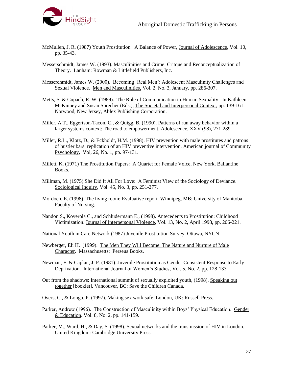

- McMullen, J. R. (1987) Youth Prostitution: A Balance of Power, Journal of Adolescence, Vol. 10, pp. 35-43.
- Messerschmidt, James W. (1993). Masculinities and Crime: Critque and Reconceptualization of Theory. Lanham: Rowman & Littlefield Publishers, Inc.
- Messerchmidt, James W. (2000). Becoming 'Real Men': Adolescent Masculinity Challenges and Sexual Violence. Men and Masculinities, Vol. 2, No. 3, January, pp. 286-307.
- Metts, S. & Cupach, R. W. (1989). The Role of Communication in Human Sexuality. In Kathleen McKinney and Susan Sprecher (Eds.), The Societal and Interpersonal Context, pp. 139-161. Norwood, New Jersey, Ablex Publishing Corporation.
- Miller, A.T., Eggertson-Tacon, C., & Quigg, B. (1990). Patterns of run away behavior within a larger systems context: The road to empowerment. Adolescence, XXV (98), 271-289.
- Miller, R.L., Klotz, D., & Eckholdt, H.M. (1998). HIV prevention with male prostitutes and patrons of hustler bars: replication of an HIV preventive intervention. American journal of Community Psychology, Vol, 26, No. 1, pp. 97-131.
- Millett, K. (1971) The Prostitution Papers: A Quartet for Female Voice, New York, Ballantine Books.
- Millman, M. (1975) She Did It All For Love: A Feminist View of the Sociology of Deviance. Sociological Inquiry, Vol. 45, No. 3, pp. 251-277.
- Mordoch, E. (1998). The living room: Evaluative report. Winnipeg, MB: University of Manitoba, Faculty of Nursing.
- Nandon S., Koverola C., and Schludermann E., (1998). Antecedents to Prostitution: Childhood Victimization. Journal of Interpersonal Violence*,* Vol. 13, No. 2, April 1998, pp. 206-221.
- National Youth in Care Network (1987) Juvenile Prostitution Survey, Ottawa, NYCN
- Newberger, Eli H. (1999). The Men They Will Become: The Nature and Nurture of Male Character. Massachusetts: Perseus Books.
- Newman, F. & Caplan, J. P. (1981). Juvenile Prostitution as Gender Consistent Response to Early Deprivation. International Journal of Women's Studies, Vol. 5, No. 2, pp. 128-133.
- Out from the shadows: International summit of sexually exploited youth, (1998). Speaking out together [booklet]. Vancouver, BC: Save the Children Canada.
- Overs, C., & Longo, P. (1997). Making sex work safe. London, UK: Russell Press.
- Parker, Andrew (1996). The Construction of Masculinity within Boys' Physical Education. Gender & Education. Vol. 8, No. 2, pp. 141-159.
- Parker, M., Ward, H., & Day, S. (1998). Sexual networks and the transmission of HIV in London. United Kingdom: Cambridge University Press.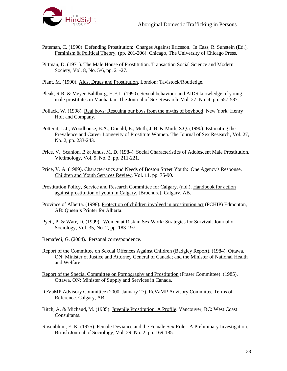- Pateman, C. (1990). Defending Prostitution: Charges Against Ericsson. In Cass, R. Sunstein (Ed.), Feminism & Political Theory, (pp. 201-206). Chicago, The University of Chicago Press.
- Pittman, D. (1971). The Male House of Prostitution. Transaction Social Science and Modern Society, Vol. 8, No. 5/6, pp. 21-27.
- Plant, M. (1990). Aids, Drugs and Prostitution. London: Tavistock/Routledge.
- Pleak, R.R. & Meyer-Bahlburg, H.F.L. (1990). Sexual behaviour and AIDS knowledge of young male prostitutes in Manhattan. The Journal of Sex Research, Vol. 27, No. 4, pp. 557-587.
- Pollack, W. (1998). Real boys: Rescuing our boys from the myths of boyhood. New York: Henry Holt and Company.
- Potterat, J. J., Woodhouse, B.A., Donald, E., Muth, J. B. & Muth, S.Q. (1990). Estimating the Prevalence and Career Longevity of Prostitute Women. The Journal of Sex Research, Vol. 27, No. 2, pp. 233-243.
- Price, V., Scanlon, B & Janus, M. D. (1984). Social Characteristics of Adolescent Male Prostitution. Victimology, Vol. 9, No. 2, pp. 211-221.
- Price, V. A. (1989). Characteristics and Needs of Boston Street Youth: One Agency's Response. Children and Youth Services Review, Vol. 11, pp. 75-90.
- Prostitution Policy, Service and Research Committee for Calgary. (n.d.). Handbook for action against prostitution of youth in Calgary. [Brochure]. Calgary, AB.
- Province of Alberta. (1998). Protection of children involved in prostitution act (PCHIP) Edmonton, AB: Queen's Printer for Alberta.
- Pyett, P. & Warr, D. (1999). Women at Risk in Sex Work: Strategies for Survival. Journal of Sociology, Vol. 35, No. 2, pp. 183-197.
- Remafedi, G. (2004). Personal correspondence.
- Report of the Committee on Sexual Offences Against Children (Badgley Report). (1984). Ottawa, ON: Minister of Justice and Attorney General of Canada; and the Minister of National Health and Welfare.
- Report of the Special Committee on Pornography and Prostitution (Fraser Committee). (1985). Ottawa, ON: Minister of Supply and Services in Canada.
- ReVaMP Advisory Committee (2000, January 27). ReVaMP Advisory Committee Terms of Reference. Calgary, AB.
- Ritch, A. & Michaud, M. (1985). Juvenile Prostitution: A Profile. Vancouver, BC: West Coast Consultants.
- Rosenblum, E. K. (1975). Female Deviance and the Female Sex Role: A Preliminary Investigation. British Journal of Sociology, Vol. 29, No. 2, pp. 169-185.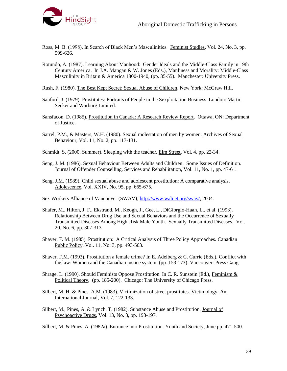

- Ross, M. B. (1998). In Search of Black Men's Masculinities. Feminist Studies, Vol. 24, No. 3, pp. 599-626.
- Rotundo, A. (1987). Learning About Manhood: Gender Ideals and the Middle-Class Family in 19th Century America. In J.A. Mangan & W. Jones (Eds.), Manliness and Morality: Middle-Class Masculinity in Britain & America 1800-1940, (pp. 35-55). Manchester: University Press.

Rush, F. (1980). The Best Kept Secret: Sexual Abuse of Children, New York: McGraw Hill.

- Sanford, J. (1979). Prostitutes: Portraits of People in the Sexploitation Business. London: Martin Secker and Warburg Limited.
- Sansfacon, D. (1985). Prostitution in Canada: A Research Review Report. Ottawa, ON: Department of Justice.
- Sarrel, P.M., & Masters, W.H. (1980). Sexual molestation of men by women. Archives of Sexual Behaviour, Vol. 11, No. 2, pp. 117-131.
- Schmidt, S. (2000, Summer). Sleeping with the teacher. Elm Street, Vol. 4, pp. 22-34.
- Seng, J. M. (1986). Sexual Behaviour Between Adults and Children: Some Issues of Definition. Journal of Offender Counselling, Services and Rehabilitation, Vol. 11, No. 1, pp. 47-61.
- Seng, J.M. (1989). Child sexual abuse and adolescent prostitution: A comparative analysis. Adolescence, Vol. XXIV, No. 95, pp. 665-675.
- Sex Workers Alliance of Vancouver (SWAV), [http://www.walnet.org/swav/,](http://www.walnet.org/swav/) 2004.
- Shafer, M., Hilton, J. F., Ekstrand, M., Keogh, J., Gee, L., DiGiorgio-Haah, L., et al. (1993). Relationship Between Drug Use and Sexual Behaviors and the Occurrence of Sexually Transmitted Diseases Among High-Risk Male Youth. Sexually Transmitted Diseases, Vol. 20, No. 6, pp. 307-313.
- Shaver, F. M. (1985). Prostitution: A Critical Analysis of Three Policy Approaches. Canadian Public Policy, Vol. 11, No. 3, pp. 493-503.
- Shaver, F.M. (1993). Prostitution a female crime? In E. Adelberg & C. Currie (Eds.), Conflict with the law: Women and the Canadian justice system, (pp. 153-173). Vancouver: Press Gang.
- Shrage, L. (1990). Should Feminists Oppose Prostitution. In C. R. Sunstein (Ed.), Feminism & Political Theory, (pp. 185-200). Chicago: The University of Chicago Press.
- Silbert, M. H. & Pines, A.M. (1983). Victimization of street prostitutes. Victimology: An International Journal, Vol. 7, 122-133.
- Silbert, M., Pines, A. & Lynch, T. (1982). Substance Abuse and Prostitution. Journal of Psychoactive Drugs, Vol. 13, No. 3, pp. 193-197.

Silbert, M. & Pines, A. (1982a). Entrance into Prostitution. Youth and Society, June pp. 471-500.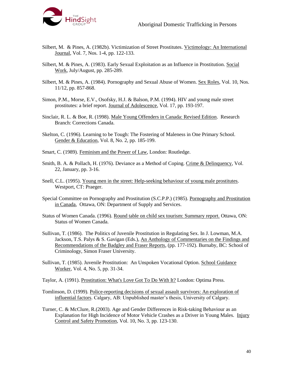

- Silbert, M. & Pines, A. (1982b). Victimization of Street Prostitutes. Victimology: An International Journal, Vol. 7, Nos. 1-4, pp. 122-133.
- Silbert, M. & Pines, A. (1983). Early Sexual Exploitation as an Influence in Prostitution. Social Work, July/August, pp. 285-289.
- Silbert, M. & Pines, A. (1984). Pornography and Sexual Abuse of Women. Sex Roles, Vol. 10, Nos. 11/12, pp. 857-868.
- Simon, P.M., Morse, E.V., Osofsky, H.J. & Balson, P.M. (1994). HIV and young male street prostitutes: a brief report. Journal of Adolescence, Vol. 17, pp. 193-197.
- Sinclair, R. L. & Boe, R. (1998). Male Young Offenders in Canada: Revised Edition. Research Branch: Corrections Canada.
- Skelton, C. (1996). Learning to be Tough: The Fostering of Maleness in One Primary School. Gender & Education, Vol. 8, No. 2, pp. 185-199.
- Smart, C. (1989). Feminism and the Power of Law, London: Routledge.
- Smith, B. A. & Pollach, H. (1976). Deviance as a Method of Coping. Crime & Delinquency, Vol. 22, January, pp. 3-16.
- Snell, C.L. (1995). Young men in the street: Help-seeking behaviour of young male prostitutes. Westport, CT: Praeger.
- Special Committee on Pornography and Prostitution (S.C.P.P.) (1985). Pornography and Prostitution in Canada, Ottawa, ON: Department of Supply and Services.
- Status of Women Canada. (1996). Round table on child sex tourism: Summary report. Ottawa, ON: Status of Women Canada.
- Sullivan, T. (1986). The Politics of Juvenile Prostitution in Regulating Sex. In J. Lowman, M.A. Jackson, T.S. Palys & S. Gavigan (Eds.), An Anthology of Commentaries on the Findings and Recommendations of the Badgley and Fraser Reports, (pp. 177-192). Burnaby, BC: School of Criminology, Simon Fraser University.
- Sullivan, T. (1985). Juvenile Prostitution: An Unspoken Vocational Option. School Guidance Worker, Vol. 4, No. 5, pp. 31-34.
- Taylor, A. (1991). Prostitution: What's Love Got To Do With It? London: Optima Press.
- Tomlinson, D. (1999). Police-reporting decisions of sexual assault survivors: An exploration of influential factors. Calgary, AB: Unpublished master's thesis, University of Calgary.
- Turner, C. & McClure, R.(2003). Age and Gender Differences in Risk-taking Behaviour as an Explanation for High Incidence of Motor Vehicle Crashes as a Driver in Young Males. Injury Control and Safety Promotion, Vol. 10, No. 3, pp. 123-130.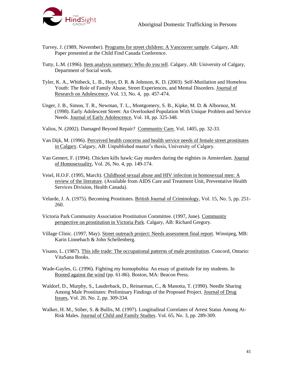

- Turvey, J. (1989, November). Programs for street children: A Vancouver sample. Calgary, AB: Paper presented at the Child Find Canada Conference.
- Tutty, L.M. (1996). Item analysis summary: Who do you tell. Calgary, AB: University of Calgary, Department of Social work.
- Tyler, K. A., Whitbeck, L. B., Hoyt, D. R. & Johnson, K. D. (2003). Self-Mutilation and Homeless Youth: The Role of Family Abuse, Street Experiences, and Mental Disorders. Journal of Research on Adolescence, Vol. 13, No. 4, pp. 457-474.
- Unger, J. B., Simon, T. R., Newman, T. L., Montgomery, S. B., Kipke, M. D. & Albornoz, M. (1998). Early Adolescent Street: An Overlooked Population With Unique Problem and Service Needs. Journal of Early Adolescence, Vol. 18, pp. 325-348.
- Valios, N. (2002). Damaged Beyond Repair? Community Care, Vol. 1405, pp. 32-33.
- Van Dijk, M. (1996). Perceived health concerns and health service needs of female street prostitutes in Calgary. Calgary, AB: Unpublished master's thesis, University of Calgary.
- Van Gemert, F. (1994). Chicken kills hawk: Gay murders during the eighties in Amsterdam. Journal of Homosexuality, Vol. 26, No. 4, pp. 149-174.
- Veiel, H.O.F. (1995, March). Childhood sexual abuse and HIV infection in homosexual men: A review of the literature. (Available from AIDS Care and Treatment Unit, Preventative Health Services Division, Health Canada).
- Velarde, J. A. (1975). Becoming Prostitutes. British Journal of Criminology, Vol. 15, No. 5, pp. 251- 260.
- Victoria Park Community Association Prostitution Committee. (1997, June). Community perspective on prostitution in Victoria Park. Calgary, AB: Richard Gregory.
- Village Clinic. (1997, May). Street outreach project: Needs assessment final report. Winnipeg, MB: Karin Linnebach & John Schellenberg.
- Visano, L. (1987). This idle trade: The occupational patterns of male prostitution. Concord, Ontario: VitaSana Books.
- Wade-Gayles, G. (1996). Fighting my homophobia: An essay of gratitude for my students. In Rooted against the wind (pp. 61-86). Boston, MA: Beacon Press.
- Waldorf, D., Murphy, S., Lauderback, D., Reinarman, C., & Manotta, T. (1990). Needle Sharing Among Male Prostitutes: Preliminary Findings of the Proposed Project. Journal of Drug Issues, Vol. 20, No. 2, pp. 309-334.
- Walker, H. M., Stiber, S. & Bullis, M. (1997). Longitudinal Correlates of Arrest Status Among At-Risk Males. Journal of Child and Family Studies. Vol. 65, No. 3, pp. 289-309.